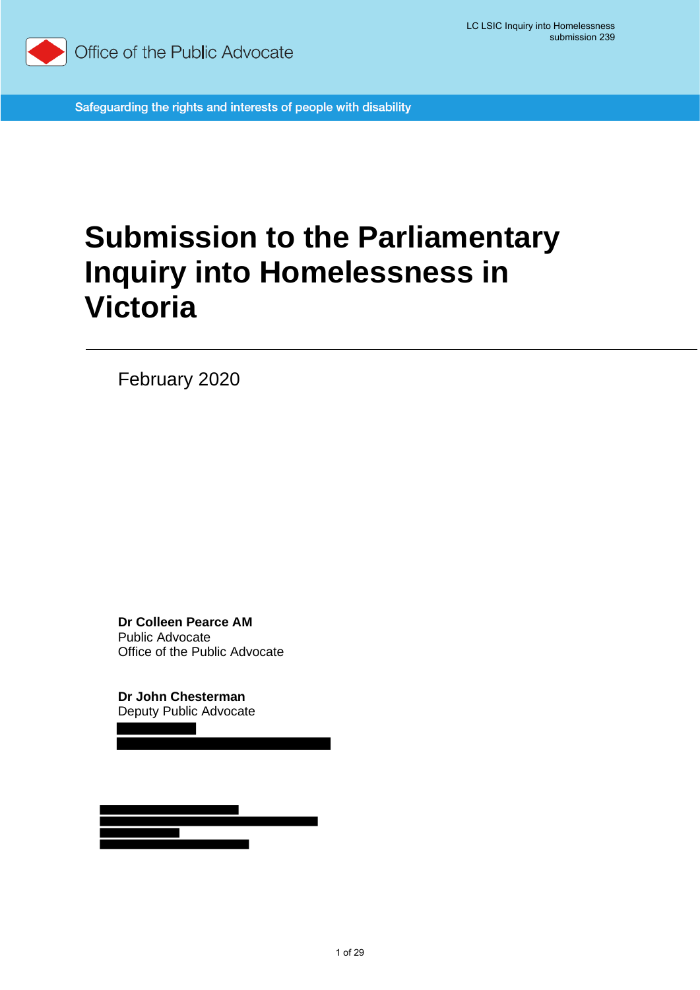

Safeguarding the rights and interests of people with disability

# **Submission to the Parliamentary Inquiry into Homelessness in Victoria**

February 2020

**Dr Colleen Pearce AM** Public Advocate Office of the Public Advocate

**Dr John Chesterman** Deputy Public Advocate

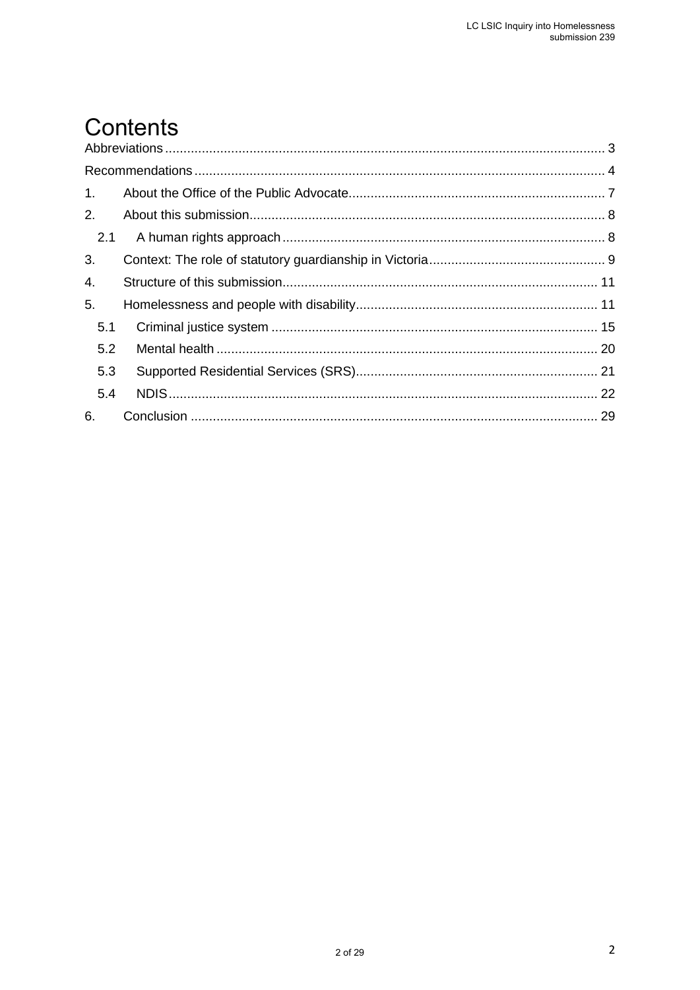## Contents

| $1_{-}$ |  |
|---------|--|
| 2.      |  |
| 2.1     |  |
| 3.      |  |
| 4.      |  |
| 5.      |  |
| 5.1     |  |
| 5.2     |  |
| 5.3     |  |
| 5.4     |  |
| 6.      |  |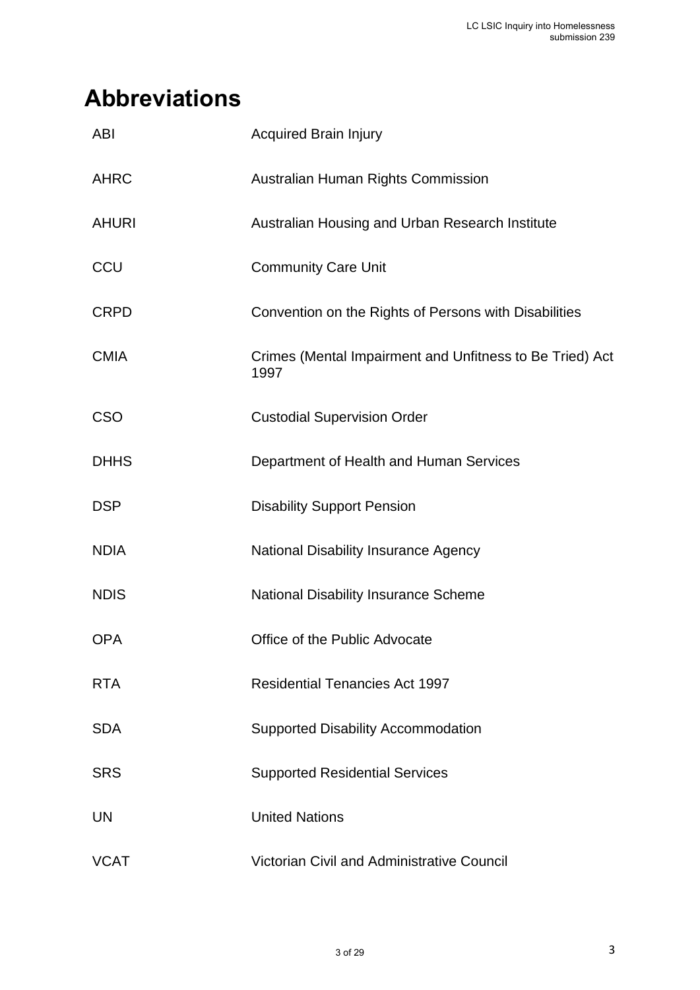## <span id="page-2-0"></span>**Abbreviations**

| <b>ABI</b>   | <b>Acquired Brain Injury</b>                                     |
|--------------|------------------------------------------------------------------|
| <b>AHRC</b>  | Australian Human Rights Commission                               |
| <b>AHURI</b> | Australian Housing and Urban Research Institute                  |
| CCU          | <b>Community Care Unit</b>                                       |
| <b>CRPD</b>  | Convention on the Rights of Persons with Disabilities            |
| <b>CMIA</b>  | Crimes (Mental Impairment and Unfitness to Be Tried) Act<br>1997 |
| <b>CSO</b>   | <b>Custodial Supervision Order</b>                               |
| <b>DHHS</b>  | Department of Health and Human Services                          |
| <b>DSP</b>   | <b>Disability Support Pension</b>                                |
| <b>NDIA</b>  | <b>National Disability Insurance Agency</b>                      |
| <b>NDIS</b>  | National Disability Insurance Scheme                             |
| <b>OPA</b>   | Office of the Public Advocate                                    |
| <b>RTA</b>   | <b>Residential Tenancies Act 1997</b>                            |
| <b>SDA</b>   | <b>Supported Disability Accommodation</b>                        |
| <b>SRS</b>   | <b>Supported Residential Services</b>                            |
| UN           | <b>United Nations</b>                                            |
| <b>VCAT</b>  | Victorian Civil and Administrative Council                       |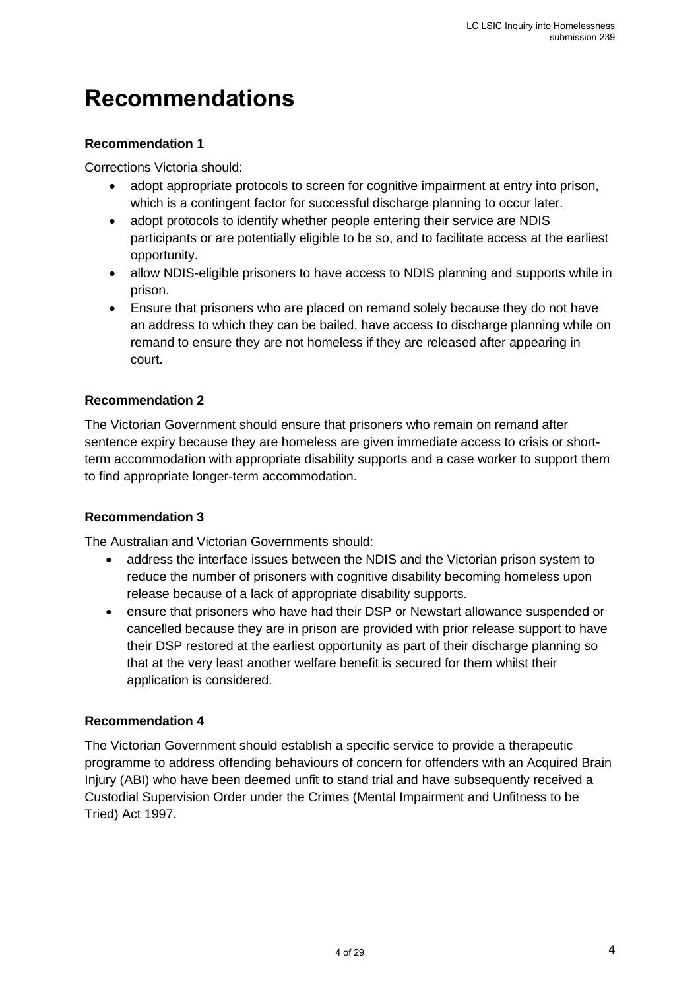### <span id="page-3-0"></span>**Recommendations**

#### **Recommendation 1**

Corrections Victoria should:

- adopt appropriate protocols to screen for cognitive impairment at entry into prison, which is a contingent factor for successful discharge planning to occur later.
- adopt protocols to identify whether people entering their service are NDIS participants or are potentially eligible to be so, and to facilitate access at the earliest opportunity.
- allow NDIS-eligible prisoners to have access to NDIS planning and supports while in prison.
- Ensure that prisoners who are placed on remand solely because they do not have an address to which they can be bailed, have access to discharge planning while on remand to ensure they are not homeless if they are released after appearing in court.

#### **Recommendation 2**

The Victorian Government should ensure that prisoners who remain on remand after sentence expiry because they are homeless are given immediate access to crisis or shortterm accommodation with appropriate disability supports and a case worker to support them to find appropriate longer-term accommodation.

#### **Recommendation 3**

The Australian and Victorian Governments should:

- address the interface issues between the NDIS and the Victorian prison system to reduce the number of prisoners with cognitive disability becoming homeless upon release because of a lack of appropriate disability supports.
- ensure that prisoners who have had their DSP or Newstart allowance suspended or cancelled because they are in prison are provided with prior release support to have their DSP restored at the earliest opportunity as part of their discharge planning so that at the very least another welfare benefit is secured for them whilst their application is considered.

#### **Recommendation 4**

The Victorian Government should establish a specific service to provide a therapeutic programme to address offending behaviours of concern for offenders with an Acquired Brain Injury (ABI) who have been deemed unfit to stand trial and have subsequently received a Custodial Supervision Order under the Crimes (Mental Impairment and Unfitness to be Tried) Act 1997.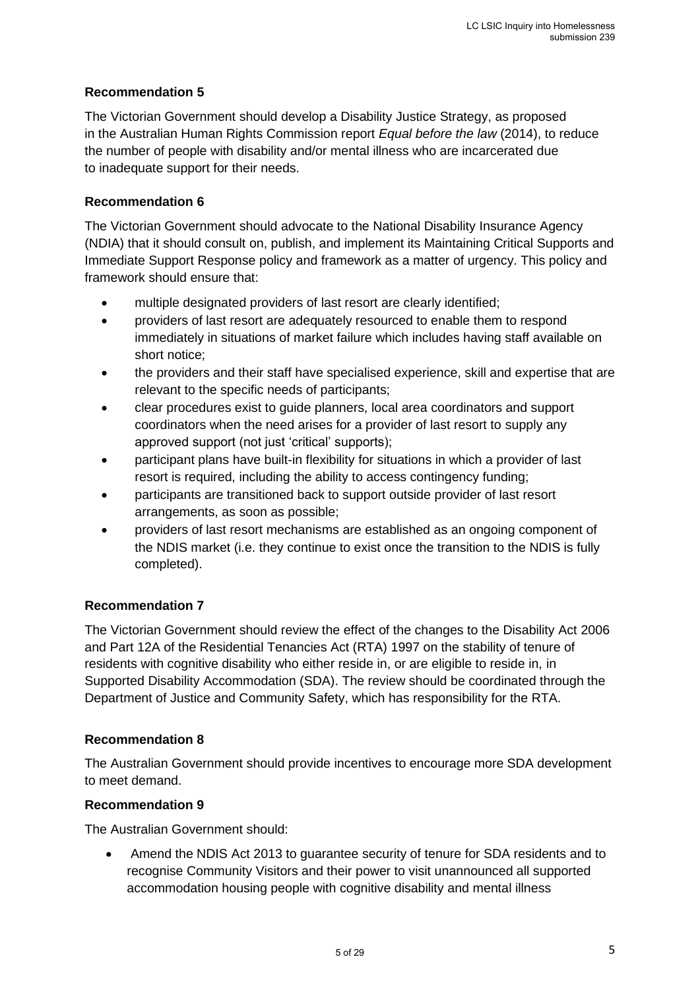#### **Recommendation 5**

The Victorian Government should develop a Disability Justice Strategy, as proposed in the Australian Human Rights Commission report *Equal before the law* (2014), to reduce the number of people with disability and/or mental illness who are incarcerated due to inadequate support for their needs.

#### **Recommendation 6**

The Victorian Government should advocate to the National Disability Insurance Agency (NDIA) that it should consult on, publish, and implement its Maintaining Critical Supports and Immediate Support Response policy and framework as a matter of urgency. This policy and framework should ensure that:

- multiple designated providers of last resort are clearly identified;
- providers of last resort are adequately resourced to enable them to respond immediately in situations of market failure which includes having staff available on short notice;
- the providers and their staff have specialised experience, skill and expertise that are relevant to the specific needs of participants;
- clear procedures exist to guide planners, local area coordinators and support coordinators when the need arises for a provider of last resort to supply any approved support (not just 'critical' supports);
- participant plans have built-in flexibility for situations in which a provider of last resort is required, including the ability to access contingency funding;
- participants are transitioned back to support outside provider of last resort arrangements, as soon as possible;
- providers of last resort mechanisms are established as an ongoing component of the NDIS market (i.e. they continue to exist once the transition to the NDIS is fully completed).

#### **Recommendation 7**

The Victorian Government should review the effect of the changes to the Disability Act 2006 and Part 12A of the Residential Tenancies Act (RTA) 1997 on the stability of tenure of residents with cognitive disability who either reside in, or are eligible to reside in, in Supported Disability Accommodation (SDA). The review should be coordinated through the Department of Justice and Community Safety, which has responsibility for the RTA.

#### **Recommendation 8**

The Australian Government should provide incentives to encourage more SDA development to meet demand.

#### **Recommendation 9**

The Australian Government should:

• Amend the NDIS Act 2013 to guarantee security of tenure for SDA residents and to recognise Community Visitors and their power to visit unannounced all supported accommodation housing people with cognitive disability and mental illness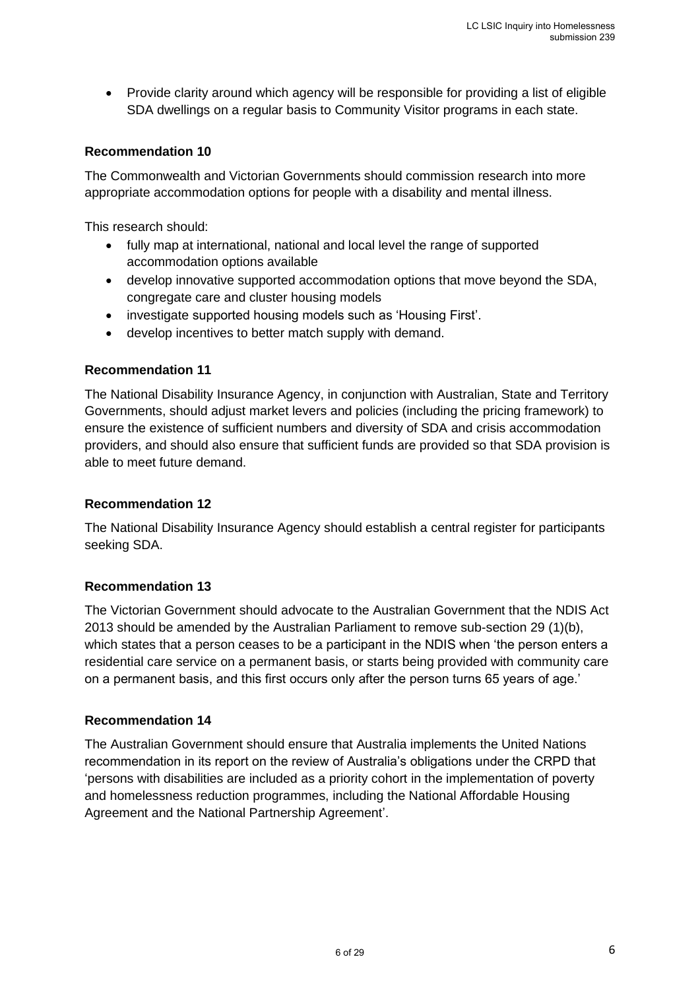• Provide clarity around which agency will be responsible for providing a list of eligible SDA dwellings on a regular basis to Community Visitor programs in each state.

#### **Recommendation 10**

The Commonwealth and Victorian Governments should commission research into more appropriate accommodation options for people with a disability and mental illness.

This research should:

- fully map at international, national and local level the range of supported accommodation options available
- develop innovative supported accommodation options that move beyond the SDA, congregate care and cluster housing models
- investigate supported housing models such as 'Housing First'.
- develop incentives to better match supply with demand.

#### **Recommendation 11**

The National Disability Insurance Agency, in conjunction with Australian, State and Territory Governments, should adjust market levers and policies (including the pricing framework) to ensure the existence of sufficient numbers and diversity of SDA and crisis accommodation providers, and should also ensure that sufficient funds are provided so that SDA provision is able to meet future demand.

#### **Recommendation 12**

The National Disability Insurance Agency should establish a central register for participants seeking SDA.

#### **Recommendation 13**

The Victorian Government should advocate to the Australian Government that the NDIS Act 2013 should be amended by the Australian Parliament to remove sub-section 29 (1)(b), which states that a person ceases to be a participant in the NDIS when 'the person enters a residential care service on a permanent basis, or starts being provided with community care on a permanent basis, and this first occurs only after the person turns 65 years of age.'

#### **Recommendation 14**

The Australian Government should ensure that Australia implements the United Nations recommendation in its report on the review of Australia's obligations under the CRPD that 'persons with disabilities are included as a priority cohort in the implementation of poverty and homelessness reduction programmes, including the National Affordable Housing Agreement and the National Partnership Agreement'.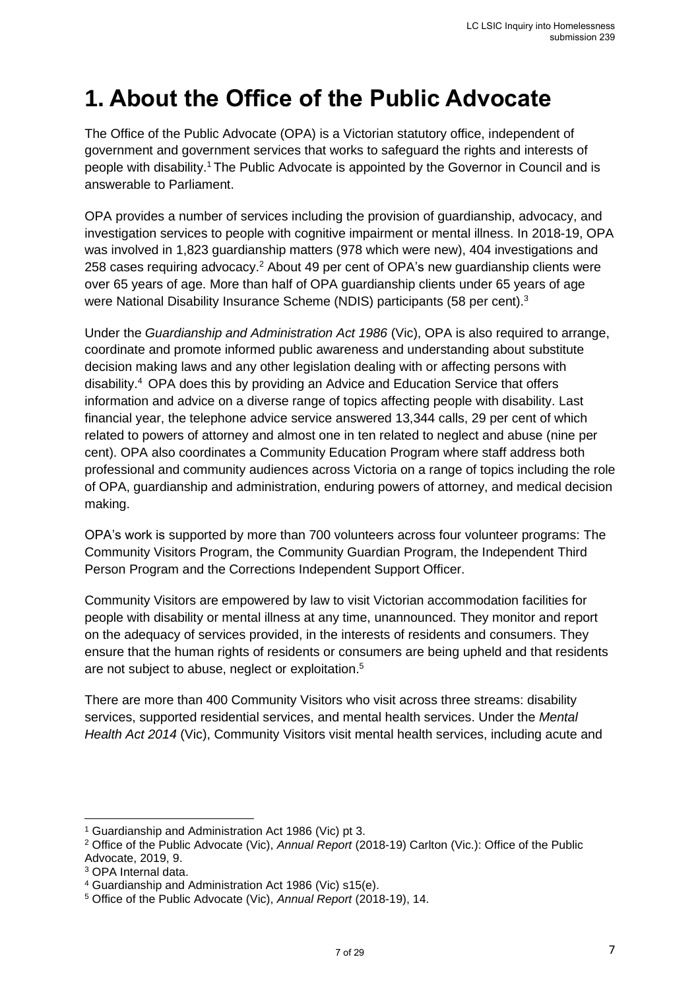## <span id="page-6-0"></span>**1. About the Office of the Public Advocate**

The Office of the Public Advocate (OPA) is a Victorian statutory office, independent of government and government services that works to safeguard the rights and interests of people with disability.<sup>1</sup> The Public Advocate is appointed by the Governor in Council and is answerable to Parliament.

OPA provides a number of services including the provision of guardianship, advocacy, and investigation services to people with cognitive impairment or mental illness. In 2018-19, OPA was involved in 1,823 guardianship matters (978 which were new), 404 investigations and 258 cases requiring advocacy.<sup>2</sup> About 49 per cent of OPA's new quardianship clients were over 65 years of age. More than half of OPA guardianship clients under 65 years of age were National Disability Insurance Scheme (NDIS) participants (58 per cent).<sup>3</sup>

Under the *Guardianship and Administration Act 1986* (Vic), OPA is also required to arrange, coordinate and promote informed public awareness and understanding about substitute decision making laws and any other legislation dealing with or affecting persons with disability.<sup>4</sup> OPA does this by providing an Advice and Education Service that offers information and advice on a diverse range of topics affecting people with disability. Last financial year, the telephone advice service answered 13,344 calls, 29 per cent of which related to powers of attorney and almost one in ten related to neglect and abuse (nine per cent). OPA also coordinates a Community Education Program where staff address both professional and community audiences across Victoria on a range of topics including the role of OPA, guardianship and administration, enduring powers of attorney, and medical decision making.

OPA's work is supported by more than 700 volunteers across four volunteer programs: The Community Visitors Program, the Community Guardian Program, the Independent Third Person Program and the Corrections Independent Support Officer.

Community Visitors are empowered by law to visit Victorian accommodation facilities for people with disability or mental illness at any time, unannounced. They monitor and report on the adequacy of services provided, in the interests of residents and consumers. They ensure that the human rights of residents or consumers are being upheld and that residents are not subject to abuse, neglect or exploitation.<sup>5</sup>

There are more than 400 Community Visitors who visit across three streams: disability services, supported residential services, and mental health services. Under the *Mental Health Act 2014* (Vic), Community Visitors visit mental health services, including acute and

<sup>1</sup> Guardianship and Administration Act 1986 (Vic) pt 3.

<sup>2</sup> Office of the Public Advocate (Vic), *Annual Report* (2018-19) Carlton (Vic.): Office of the Public Advocate, 2019, 9.

<sup>3</sup> OPA Internal data.

<sup>4</sup> Guardianship and Administration Act 1986 (Vic) s15(e).

<sup>5</sup> Office of the Public Advocate (Vic), *Annual Report* (2018-19), 14.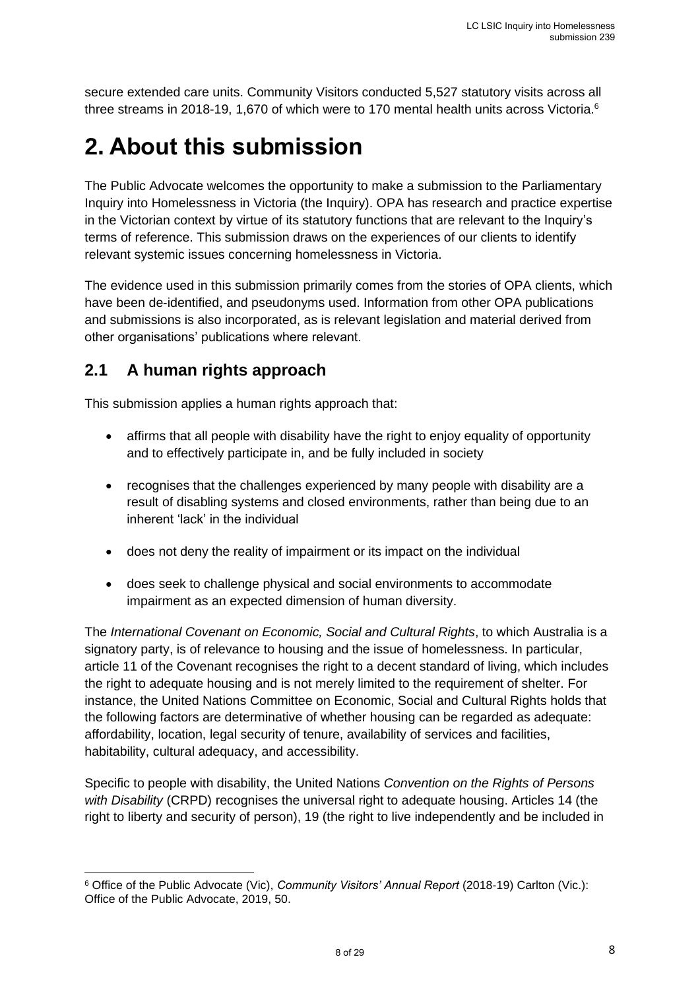secure extended care units. Community Visitors conducted 5,527 statutory visits across all three streams in 2018-19, 1,670 of which were to 170 mental health units across Victoria.<sup>6</sup>

## <span id="page-7-0"></span>**2. About this submission**

The Public Advocate welcomes the opportunity to make a submission to the Parliamentary Inquiry into Homelessness in Victoria (the Inquiry). OPA has research and practice expertise in the Victorian context by virtue of its statutory functions that are relevant to the Inquiry's terms of reference. This submission draws on the experiences of our clients to identify relevant systemic issues concerning homelessness in Victoria.

The evidence used in this submission primarily comes from the stories of OPA clients, which have been de-identified, and pseudonyms used. Information from other OPA publications and submissions is also incorporated, as is relevant legislation and material derived from other organisations' publications where relevant.

### <span id="page-7-1"></span>**2.1 A human rights approach**

This submission applies a human rights approach that:

- affirms that all people with disability have the right to enjoy equality of opportunity and to effectively participate in, and be fully included in society
- recognises that the challenges experienced by many people with disability are a result of disabling systems and closed environments, rather than being due to an inherent 'lack' in the individual
- does not deny the reality of impairment or its impact on the individual
- does seek to challenge physical and social environments to accommodate impairment as an expected dimension of human diversity.

The *International Covenant on Economic, Social and Cultural Rights*, to which Australia is a signatory party, is of relevance to housing and the issue of homelessness. In particular, article 11 of the Covenant recognises the right to a decent standard of living, which includes the right to adequate housing and is not merely limited to the requirement of shelter. For instance, the United Nations Committee on Economic, Social and Cultural Rights holds that the following factors are determinative of whether housing can be regarded as adequate: affordability, location, legal security of tenure, availability of services and facilities, habitability, cultural adequacy, and accessibility.

Specific to people with disability, the United Nations *Convention on the Rights of Persons with Disability* (CRPD) recognises the universal right to adequate housing. Articles 14 (the right to liberty and security of person), 19 (the right to live independently and be included in

<sup>6</sup> Office of the Public Advocate (Vic), *Community Visitors' Annual Report* (2018-19) Carlton (Vic.): Office of the Public Advocate, 2019, 50.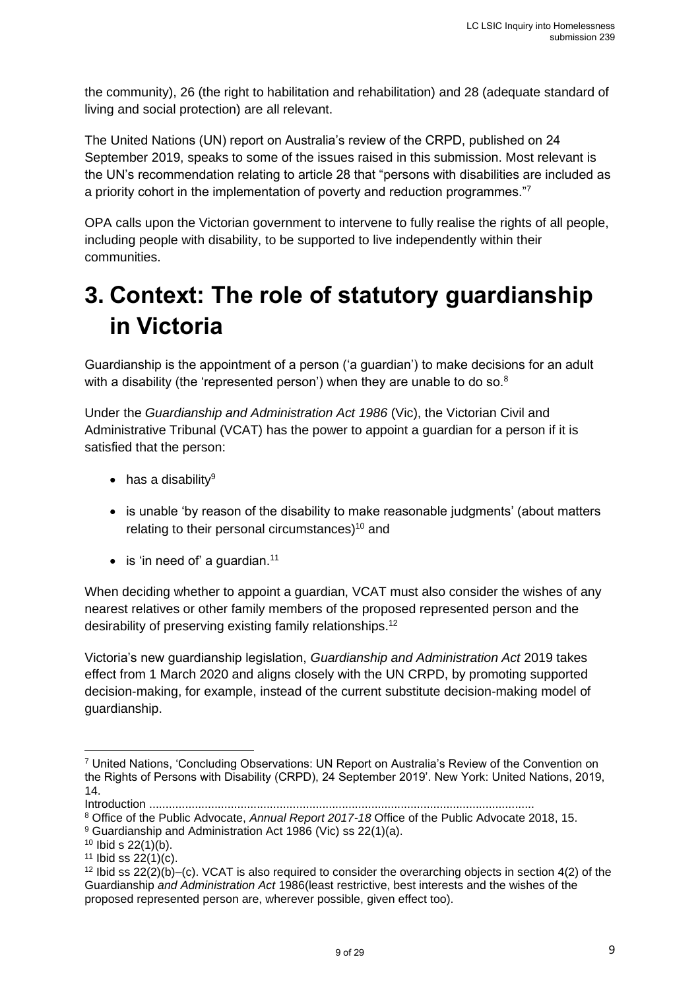the community), 26 (the right to habilitation and rehabilitation) and 28 (adequate standard of living and social protection) are all relevant.

The United Nations (UN) report on Australia's review of the CRPD, published on 24 September 2019, speaks to some of the issues raised in this submission. Most relevant is the UN's recommendation relating to article 28 that "persons with disabilities are included as a priority cohort in the implementation of poverty and reduction programmes."<sup>7</sup>

OPA calls upon the Victorian government to intervene to fully realise the rights of all people, including people with disability, to be supported to live independently within their communities.

## <span id="page-8-0"></span>**3. Context: The role of statutory guardianship in Victoria**

Guardianship is the appointment of a person ('a guardian') to make decisions for an adult with a disability (the 'represented person') when they are unable to do so.<sup>8</sup>

Under the *Guardianship and Administration Act 1986* (Vic), the Victorian Civil and Administrative Tribunal (VCAT) has the power to appoint a guardian for a person if it is satisfied that the person:

- $\bullet$  has a disability<sup>9</sup>
- is unable 'by reason of the disability to make reasonable judgments' (about matters relating to their personal circumstances)<sup>10</sup> and
- $\bullet$  is 'in need of' a guardian.<sup>11</sup>

When deciding whether to appoint a guardian, VCAT must also consider the wishes of any nearest relatives or other family members of the proposed represented person and the desirability of preserving existing family relationships.<sup>12</sup>

Victoria's new guardianship legislation, *Guardianship and Administration Act* 2019 takes effect from 1 March 2020 and aligns closely with the UN CRPD, by promoting supported decision-making, for example, instead of the current substitute decision-making model of guardianship.

<sup>7</sup> United Nations, 'Concluding Observations: UN Report on Australia's Review of the Convention on the Rights of Persons with Disability (CRPD), 24 September 2019'. New York: United Nations, 2019, 14.

Introduction ...................................................................................................................... <sup>8</sup> Office of the Public Advocate, *Annual Report 2017-18* Office of the Public Advocate 2018, 15.

<sup>9</sup> Guardianship and Administration Act 1986 (Vic) ss 22(1)(a).

 $10$  Ibid s  $22(1)(b)$ .

 $11$  Ibid ss  $22(1)(c)$ .

<sup>&</sup>lt;sup>12</sup> Ibid ss  $22(2)(b)$ –(c). VCAT is also required to consider the overarching objects in section  $4(2)$  of the Guardianship *and Administration Act* 1986(least restrictive, best interests and the wishes of the proposed represented person are, wherever possible, given effect too).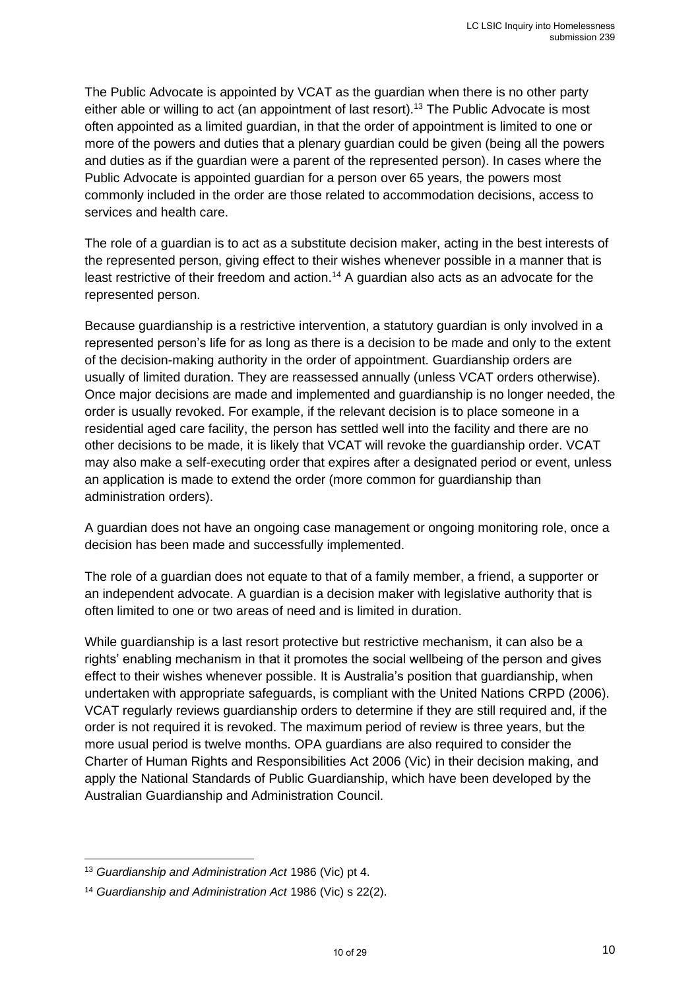The Public Advocate is appointed by VCAT as the guardian when there is no other party either able or willing to act (an appointment of last resort).<sup>13</sup> The Public Advocate is most often appointed as a limited guardian, in that the order of appointment is limited to one or more of the powers and duties that a plenary guardian could be given (being all the powers and duties as if the guardian were a parent of the represented person). In cases where the Public Advocate is appointed guardian for a person over 65 years, the powers most commonly included in the order are those related to accommodation decisions, access to services and health care.

The role of a guardian is to act as a substitute decision maker, acting in the best interests of the represented person, giving effect to their wishes whenever possible in a manner that is least restrictive of their freedom and action.<sup>14</sup> A guardian also acts as an advocate for the represented person.

Because guardianship is a restrictive intervention, a statutory guardian is only involved in a represented person's life for as long as there is a decision to be made and only to the extent of the decision-making authority in the order of appointment. Guardianship orders are usually of limited duration. They are reassessed annually (unless VCAT orders otherwise). Once major decisions are made and implemented and guardianship is no longer needed, the order is usually revoked. For example, if the relevant decision is to place someone in a residential aged care facility, the person has settled well into the facility and there are no other decisions to be made, it is likely that VCAT will revoke the guardianship order. VCAT may also make a self-executing order that expires after a designated period or event, unless an application is made to extend the order (more common for guardianship than administration orders).

A guardian does not have an ongoing case management or ongoing monitoring role, once a decision has been made and successfully implemented.

The role of a guardian does not equate to that of a family member, a friend, a supporter or an independent advocate. A guardian is a decision maker with legislative authority that is often limited to one or two areas of need and is limited in duration.

While guardianship is a last resort protective but restrictive mechanism, it can also be a rights' enabling mechanism in that it promotes the social wellbeing of the person and gives effect to their wishes whenever possible. It is Australia's position that guardianship, when undertaken with appropriate safeguards, is compliant with the United Nations CRPD (2006). VCAT regularly reviews guardianship orders to determine if they are still required and, if the order is not required it is revoked. The maximum period of review is three years, but the more usual period is twelve months. OPA guardians are also required to consider the Charter of Human Rights and Responsibilities Act 2006 (Vic) in their decision making, and apply the National Standards of Public Guardianship, which have been developed by the Australian Guardianship and Administration Council.

<sup>13</sup> *Guardianship and Administration Act* 1986 (Vic) pt 4.

<sup>14</sup> *Guardianship and Administration Act* 1986 (Vic) s 22(2).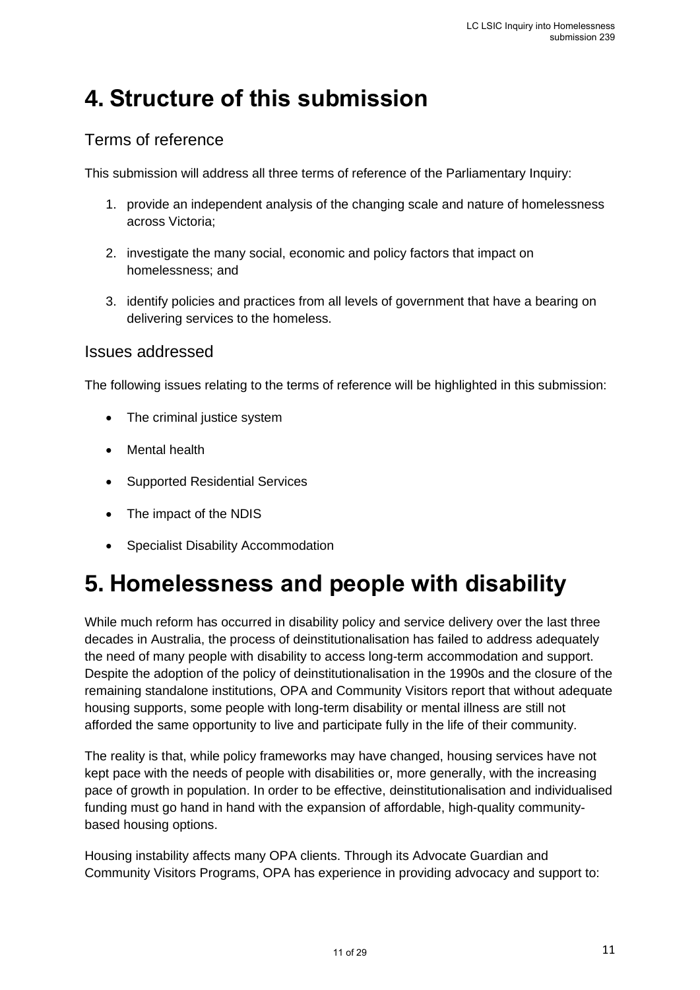## <span id="page-10-0"></span>**4. Structure of this submission**

### Terms of reference

This submission will address all three terms of reference of the Parliamentary Inquiry:

- 1. provide an independent analysis of the changing scale and nature of homelessness across Victoria;
- 2. investigate the many social, economic and policy factors that impact on homelessness; and
- 3. identify policies and practices from all levels of government that have a bearing on delivering services to the homeless.

#### Issues addressed

The following issues relating to the terms of reference will be highlighted in this submission:

- The criminal justice system
- Mental health
- Supported Residential Services
- The impact of the NDIS
- Specialist Disability Accommodation

## <span id="page-10-1"></span>**5. Homelessness and people with disability**

While much reform has occurred in disability policy and service delivery over the last three decades in Australia, the process of deinstitutionalisation has failed to address adequately the need of many people with disability to access long-term accommodation and support. Despite the adoption of the policy of deinstitutionalisation in the 1990s and the closure of the remaining standalone institutions, OPA and Community Visitors report that without adequate housing supports, some people with long-term disability or mental illness are still not afforded the same opportunity to live and participate fully in the life of their community.

The reality is that, while policy frameworks may have changed, housing services have not kept pace with the needs of people with disabilities or, more generally, with the increasing pace of growth in population. In order to be effective, deinstitutionalisation and individualised funding must go hand in hand with the expansion of affordable, high-quality communitybased housing options.

Housing instability affects many OPA clients. Through its Advocate Guardian and Community Visitors Programs, OPA has experience in providing advocacy and support to: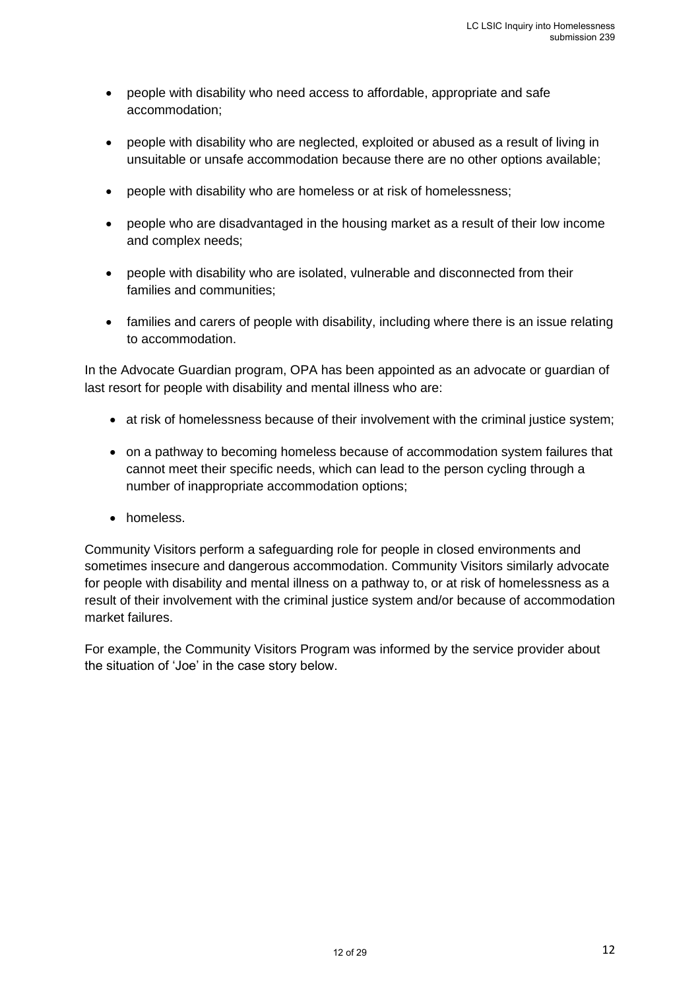- people with disability who need access to affordable, appropriate and safe accommodation;
- people with disability who are neglected, exploited or abused as a result of living in unsuitable or unsafe accommodation because there are no other options available;
- people with disability who are homeless or at risk of homelessness;
- people who are disadvantaged in the housing market as a result of their low income and complex needs;
- people with disability who are isolated, vulnerable and disconnected from their families and communities;
- families and carers of people with disability, including where there is an issue relating to accommodation.

In the Advocate Guardian program, OPA has been appointed as an advocate or guardian of last resort for people with disability and mental illness who are:

- at risk of homelessness because of their involvement with the criminal justice system;
- on a pathway to becoming homeless because of accommodation system failures that cannot meet their specific needs, which can lead to the person cycling through a number of inappropriate accommodation options;
- homeless.

Community Visitors perform a safeguarding role for people in closed environments and sometimes insecure and dangerous accommodation. Community Visitors similarly advocate for people with disability and mental illness on a pathway to, or at risk of homelessness as a result of their involvement with the criminal justice system and/or because of accommodation market failures.

For example, the Community Visitors Program was informed by the service provider about the situation of 'Joe' in the case story below.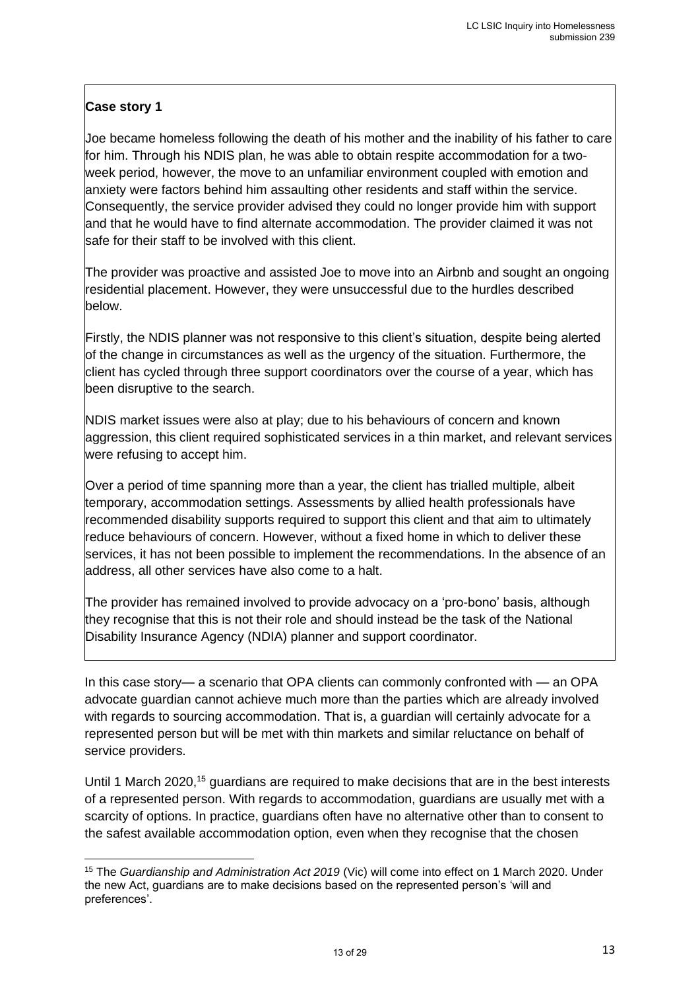### **Case story 1**

Joe became homeless following the death of his mother and the inability of his father to care for him. Through his NDIS plan, he was able to obtain respite accommodation for a twoweek period, however, the move to an unfamiliar environment coupled with emotion and anxiety were factors behind him assaulting other residents and staff within the service. Consequently, the service provider advised they could no longer provide him with support and that he would have to find alternate accommodation. The provider claimed it was not safe for their staff to be involved with this client.

The provider was proactive and assisted Joe to move into an Airbnb and sought an ongoing residential placement. However, they were unsuccessful due to the hurdles described below.

Firstly, the NDIS planner was not responsive to this client's situation, despite being alerted of the change in circumstances as well as the urgency of the situation. Furthermore, the client has cycled through three support coordinators over the course of a year, which has been disruptive to the search.

NDIS market issues were also at play; due to his behaviours of concern and known aggression, this client required sophisticated services in a thin market, and relevant services were refusing to accept him.

Over a period of time spanning more than a year, the client has trialled multiple, albeit temporary, accommodation settings. Assessments by allied health professionals have recommended disability supports required to support this client and that aim to ultimately reduce behaviours of concern. However, without a fixed home in which to deliver these services, it has not been possible to implement the recommendations. In the absence of an address, all other services have also come to a halt.

The provider has remained involved to provide advocacy on a 'pro-bono' basis, although they recognise that this is not their role and should instead be the task of the National Disability Insurance Agency (NDIA) planner and support coordinator.

In this case story— a scenario that OPA clients can commonly confronted with — an OPA advocate guardian cannot achieve much more than the parties which are already involved with regards to sourcing accommodation. That is, a guardian will certainly advocate for a represented person but will be met with thin markets and similar reluctance on behalf of service providers.

Until 1 March 2020,<sup>15</sup> guardians are required to make decisions that are in the best interests of a represented person. With regards to accommodation, guardians are usually met with a scarcity of options. In practice, guardians often have no alternative other than to consent to the safest available accommodation option, even when they recognise that the chosen

<sup>15</sup> The *Guardianship and Administration Act 2019* (Vic) will come into effect on 1 March 2020. Under the new Act, guardians are to make decisions based on the represented person's 'will and preferences'.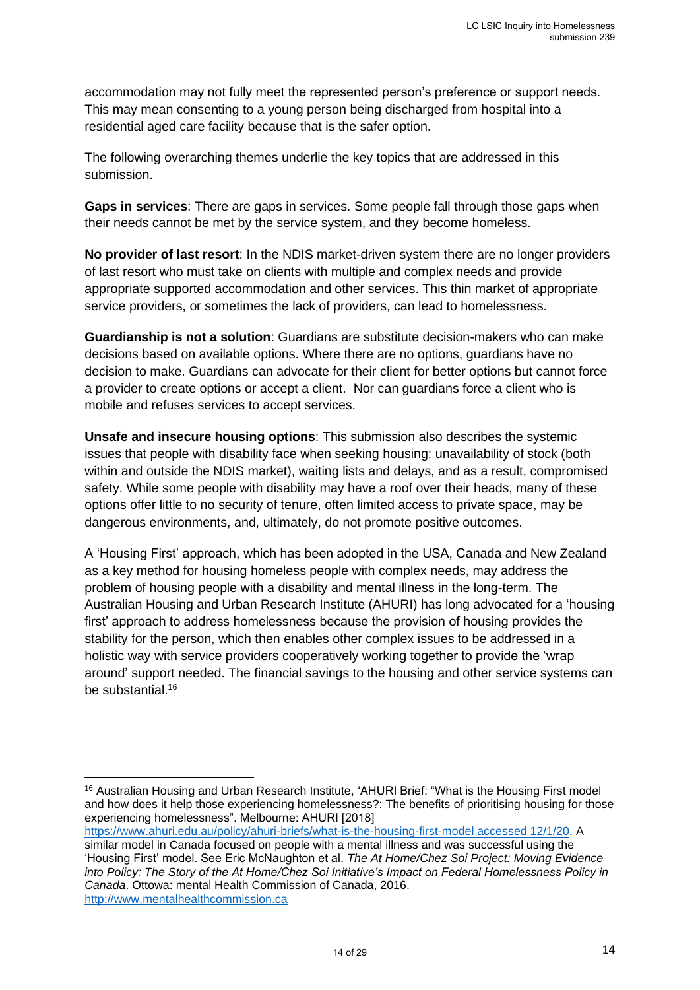accommodation may not fully meet the represented person's preference or support needs. This may mean consenting to a young person being discharged from hospital into a residential aged care facility because that is the safer option.

The following overarching themes underlie the key topics that are addressed in this submission.

**Gaps in services**: There are gaps in services. Some people fall through those gaps when their needs cannot be met by the service system, and they become homeless.

**No provider of last resort**: In the NDIS market-driven system there are no longer providers of last resort who must take on clients with multiple and complex needs and provide appropriate supported accommodation and other services. This thin market of appropriate service providers, or sometimes the lack of providers, can lead to homelessness.

**Guardianship is not a solution**: Guardians are substitute decision-makers who can make decisions based on available options. Where there are no options, guardians have no decision to make. Guardians can advocate for their client for better options but cannot force a provider to create options or accept a client. Nor can guardians force a client who is mobile and refuses services to accept services.

**Unsafe and insecure housing options**: This submission also describes the systemic issues that people with disability face when seeking housing: unavailability of stock (both within and outside the NDIS market), waiting lists and delays, and as a result, compromised safety. While some people with disability may have a roof over their heads, many of these options offer little to no security of tenure, often limited access to private space, may be dangerous environments, and, ultimately, do not promote positive outcomes.

A 'Housing First' approach, which has been adopted in the USA, Canada and New Zealand as a key method for housing homeless people with complex needs, may address the problem of housing people with a disability and mental illness in the long-term. The Australian Housing and Urban Research Institute (AHURI) has long advocated for a 'housing first' approach to address homelessness because the provision of housing provides the stability for the person, which then enables other complex issues to be addressed in a holistic way with service providers cooperatively working together to provide the 'wrap around' support needed. The financial savings to the housing and other service systems can be substantial.<sup>16</sup>

https://www.ahuri.edu.au/policy/ahuri-briefs/what-is-the-housing-first-model accessed 12/1/20. A

<sup>&</sup>lt;sup>16</sup> Australian Housing and Urban Research Institute, 'AHURI Brief: "What is the Housing First model and how does it help those experiencing homelessness?: The benefits of prioritising housing for those experiencing homelessness". Melbourne: AHURI [2018]

similar model in Canada focused on people with a mental illness and was successful using the 'Housing First' model. See Eric McNaughton et al. *The At Home/Chez Soi Project: Moving Evidence into Policy: The Story of the At Home/Chez Soi Initiative's Impact on Federal Homelessness Policy in Canada*. Ottowa: mental Health Commission of Canada, 2016. http://www.mentalhealthcommission.ca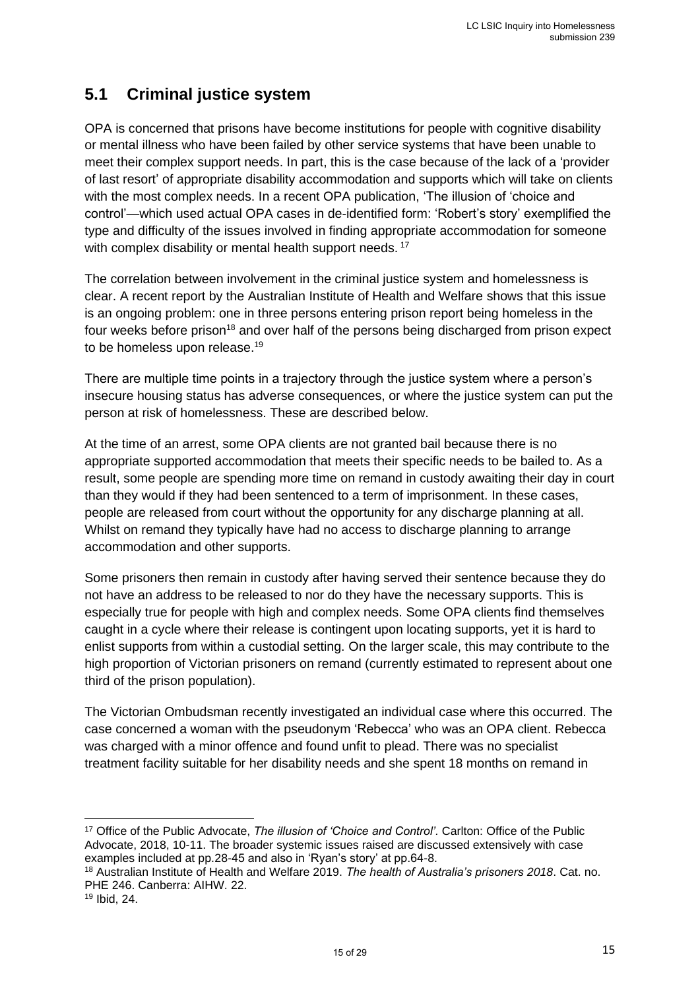### <span id="page-14-0"></span>**5.1 Criminal justice system**

OPA is concerned that prisons have become institutions for people with cognitive disability or mental illness who have been failed by other service systems that have been unable to meet their complex support needs. In part, this is the case because of the lack of a 'provider of last resort' of appropriate disability accommodation and supports which will take on clients with the most complex needs. In a recent OPA publication, 'The illusion of 'choice and control'—which used actual OPA cases in de-identified form: 'Robert's story' exemplified the type and difficulty of the issues involved in finding appropriate accommodation for someone with complex disability or mental health support needs.<sup>17</sup>

The correlation between involvement in the criminal justice system and homelessness is clear. A recent report by the Australian Institute of Health and Welfare shows that this issue is an ongoing problem: one in three persons entering prison report being homeless in the four weeks before prison<sup>18</sup> and over half of the persons being discharged from prison expect to be homeless upon release.<sup>19</sup>

There are multiple time points in a trajectory through the justice system where a person's insecure housing status has adverse consequences, or where the justice system can put the person at risk of homelessness. These are described below.

At the time of an arrest, some OPA clients are not granted bail because there is no appropriate supported accommodation that meets their specific needs to be bailed to. As a result, some people are spending more time on remand in custody awaiting their day in court than they would if they had been sentenced to a term of imprisonment. In these cases, people are released from court without the opportunity for any discharge planning at all. Whilst on remand they typically have had no access to discharge planning to arrange accommodation and other supports.

Some prisoners then remain in custody after having served their sentence because they do not have an address to be released to nor do they have the necessary supports. This is especially true for people with high and complex needs. Some OPA clients find themselves caught in a cycle where their release is contingent upon locating supports, yet it is hard to enlist supports from within a custodial setting. On the larger scale, this may contribute to the high proportion of Victorian prisoners on remand (currently estimated to represent about one third of the prison population).

The Victorian Ombudsman recently investigated an individual case where this occurred. The case concerned a woman with the pseudonym 'Rebecca' who was an OPA client. Rebecca was charged with a minor offence and found unfit to plead. There was no specialist treatment facility suitable for her disability needs and she spent 18 months on remand in

<sup>19</sup> Ibid, 24.

<sup>17</sup> Office of the Public Advocate, *The illusion of 'Choice and Control'.* Carlton: Office of the Public Advocate, 2018, 10-11. The broader systemic issues raised are discussed extensively with case examples included at pp.28-45 and also in 'Ryan's story' at pp.64-8.

<sup>18</sup> Australian Institute of Health and Welfare 2019. *The health of Australia's prisoners 2018*. Cat. no. PHE 246. Canberra: AIHW. 22.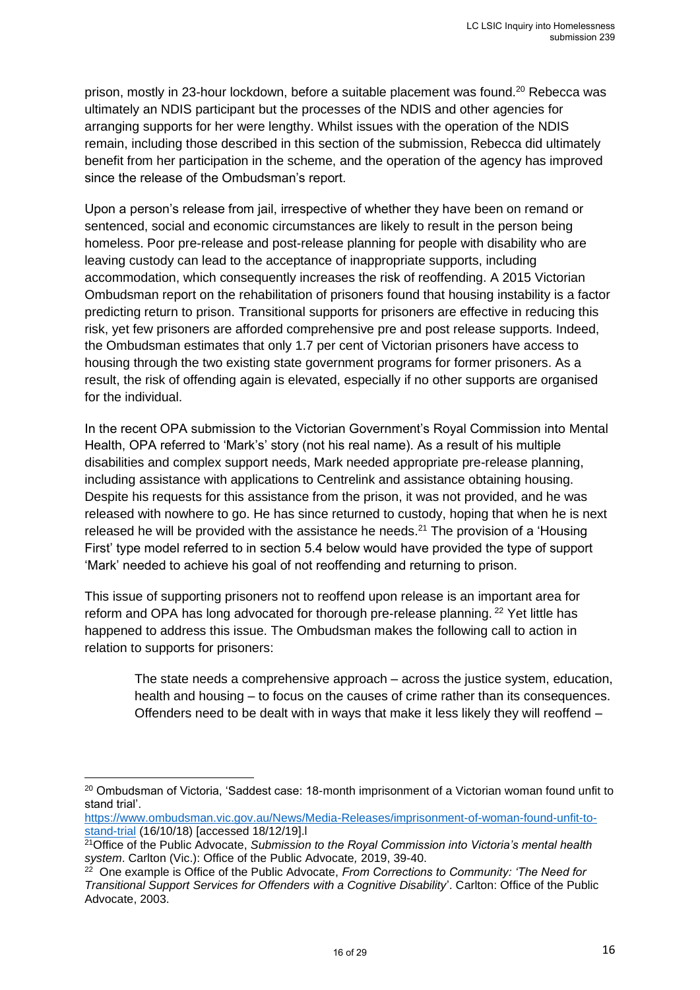prison, mostly in 23-hour lockdown, before a suitable placement was found.<sup>20</sup> Rebecca was ultimately an NDIS participant but the processes of the NDIS and other agencies for arranging supports for her were lengthy. Whilst issues with the operation of the NDIS remain, including those described in this section of the submission, Rebecca did ultimately benefit from her participation in the scheme, and the operation of the agency has improved since the release of the Ombudsman's report.

Upon a person's release from jail, irrespective of whether they have been on remand or sentenced, social and economic circumstances are likely to result in the person being homeless. Poor pre-release and post-release planning for people with disability who are leaving custody can lead to the acceptance of inappropriate supports, including accommodation, which consequently increases the risk of reoffending. A 2015 Victorian Ombudsman report on the rehabilitation of prisoners found that housing instability is a factor predicting return to prison. Transitional supports for prisoners are effective in reducing this risk, yet few prisoners are afforded comprehensive pre and post release supports. Indeed, the Ombudsman estimates that only 1.7 per cent of Victorian prisoners have access to housing through the two existing state government programs for former prisoners. As a result, the risk of offending again is elevated, especially if no other supports are organised for the individual.

In the recent OPA submission to the Victorian Government's Royal Commission into Mental Health, OPA referred to 'Mark's' story (not his real name). As a result of his multiple disabilities and complex support needs, Mark needed appropriate pre-release planning, including assistance with applications to Centrelink and assistance obtaining housing. Despite his requests for this assistance from the prison, it was not provided, and he was released with nowhere to go. He has since returned to custody, hoping that when he is next released he will be provided with the assistance he needs.<sup>21</sup> The provision of a 'Housing First' type model referred to in section 5.4 below would have provided the type of support 'Mark' needed to achieve his goal of not reoffending and returning to prison.

This issue of supporting prisoners not to reoffend upon release is an important area for reform and OPA has long advocated for thorough pre-release planning. <sup>22</sup> Yet little has happened to address this issue. The Ombudsman makes the following call to action in relation to supports for prisoners:

> The state needs a comprehensive approach – across the justice system, education, health and housing – to focus on the causes of crime rather than its consequences. Offenders need to be dealt with in ways that make it less likely they will reoffend –

<sup>&</sup>lt;sup>20</sup> Ombudsman of Victoria, 'Saddest case: 18-month imprisonment of a Victorian woman found unfit to stand trial'.

https://www.ombudsman.vic.gov.au/News/Media-Releases/imprisonment-of-woman-found-unfit-tostand-trial (16/10/18) [accessed 18/12/19].l

<sup>21</sup>Office of the Public Advocate, *Submission to the Royal Commission into Victoria's mental health system*. Carlton (Vic.): Office of the Public Advocate*,* 2019, 39-40.

<sup>22</sup> One example is Office of the Public Advocate, *From Corrections to Community: 'The Need for Transitional Support Services for Offenders with a Cognitive Disability*'. Carlton: Office of the Public Advocate, 2003.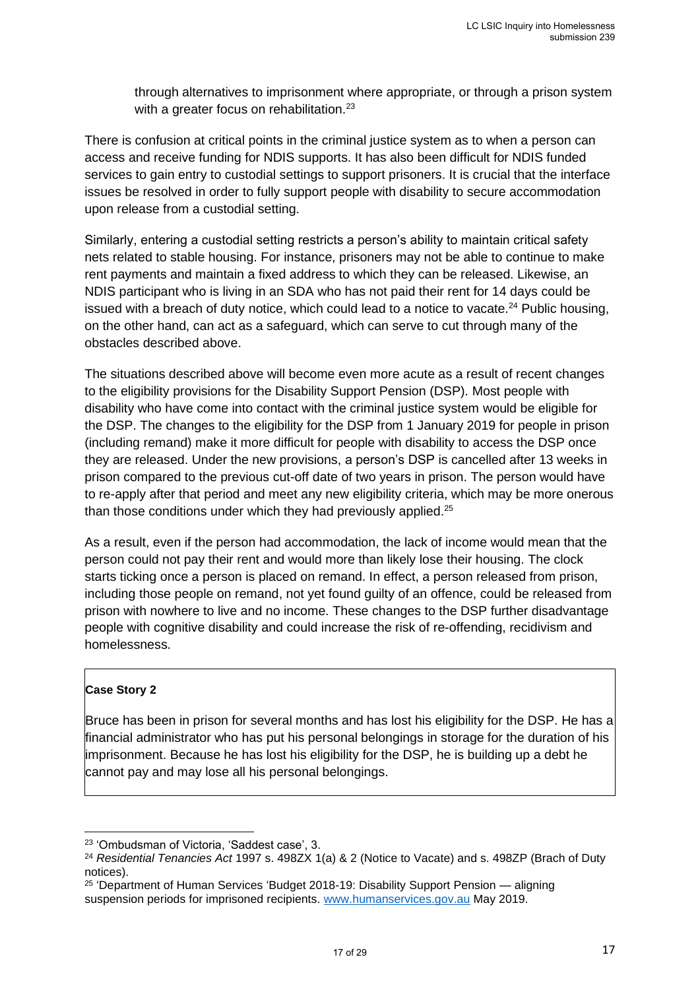through alternatives to imprisonment where appropriate, or through a prison system with a greater focus on rehabilitation.<sup>23</sup>

There is confusion at critical points in the criminal justice system as to when a person can access and receive funding for NDIS supports. It has also been difficult for NDIS funded services to gain entry to custodial settings to support prisoners. It is crucial that the interface issues be resolved in order to fully support people with disability to secure accommodation upon release from a custodial setting.

Similarly, entering a custodial setting restricts a person's ability to maintain critical safety nets related to stable housing. For instance, prisoners may not be able to continue to make rent payments and maintain a fixed address to which they can be released. Likewise, an NDIS participant who is living in an SDA who has not paid their rent for 14 days could be issued with a breach of duty notice, which could lead to a notice to vacate.<sup>24</sup> Public housing, on the other hand, can act as a safeguard, which can serve to cut through many of the obstacles described above.

The situations described above will become even more acute as a result of recent changes to the eligibility provisions for the Disability Support Pension (DSP). Most people with disability who have come into contact with the criminal justice system would be eligible for the DSP. The changes to the eligibility for the DSP from 1 January 2019 for people in prison (including remand) make it more difficult for people with disability to access the DSP once they are released. Under the new provisions, a person's DSP is cancelled after 13 weeks in prison compared to the previous cut-off date of two years in prison. The person would have to re-apply after that period and meet any new eligibility criteria, which may be more onerous than those conditions under which they had previously applied.<sup>25</sup>

As a result, even if the person had accommodation, the lack of income would mean that the person could not pay their rent and would more than likely lose their housing. The clock starts ticking once a person is placed on remand. In effect, a person released from prison, including those people on remand, not yet found guilty of an offence, could be released from prison with nowhere to live and no income. These changes to the DSP further disadvantage people with cognitive disability and could increase the risk of re-offending, recidivism and homelessness.

#### **Case Story 2**

Bruce has been in prison for several months and has lost his eligibility for the DSP. He has a financial administrator who has put his personal belongings in storage for the duration of his imprisonment. Because he has lost his eligibility for the DSP, he is building up a debt he cannot pay and may lose all his personal belongings.

<sup>23</sup> 'Ombudsman of Victoria, 'Saddest case', 3.

<sup>24</sup> *Residential Tenancies Act* 1997 s. 498ZX 1(a) & 2 (Notice to Vacate) and s. 498ZP (Brach of Duty notices).

<sup>&</sup>lt;sup>25</sup> 'Department of Human Services 'Budget 2018-19: Disability Support Pension — aligning suspension periods for imprisoned recipients. www.humanservices.gov.au May 2019.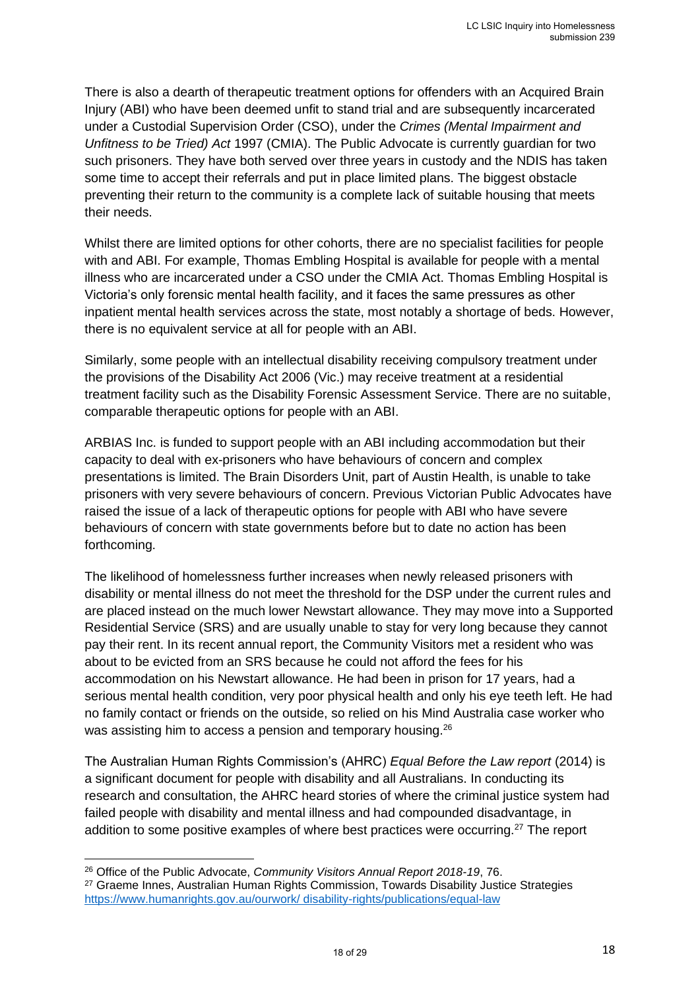There is also a dearth of therapeutic treatment options for offenders with an Acquired Brain Injury (ABI) who have been deemed unfit to stand trial and are subsequently incarcerated under a Custodial Supervision Order (CSO), under the *Crimes (Mental Impairment and Unfitness to be Tried) Act* 1997 (CMIA). The Public Advocate is currently guardian for two such prisoners. They have both served over three years in custody and the NDIS has taken some time to accept their referrals and put in place limited plans. The biggest obstacle preventing their return to the community is a complete lack of suitable housing that meets their needs.

Whilst there are limited options for other cohorts, there are no specialist facilities for people with and ABI. For example, Thomas Embling Hospital is available for people with a mental illness who are incarcerated under a CSO under the CMIA Act. Thomas Embling Hospital is Victoria's only forensic mental health facility, and it faces the same pressures as other inpatient mental health services across the state, most notably a shortage of beds. However, there is no equivalent service at all for people with an ABI.

Similarly, some people with an intellectual disability receiving compulsory treatment under the provisions of the Disability Act 2006 (Vic.) may receive treatment at a residential treatment facility such as the Disability Forensic Assessment Service. There are no suitable, comparable therapeutic options for people with an ABI.

ARBIAS Inc. is funded to support people with an ABI including accommodation but their capacity to deal with ex-prisoners who have behaviours of concern and complex presentations is limited. The Brain Disorders Unit, part of Austin Health, is unable to take prisoners with very severe behaviours of concern. Previous Victorian Public Advocates have raised the issue of a lack of therapeutic options for people with ABI who have severe behaviours of concern with state governments before but to date no action has been forthcoming.

The likelihood of homelessness further increases when newly released prisoners with disability or mental illness do not meet the threshold for the DSP under the current rules and are placed instead on the much lower Newstart allowance. They may move into a Supported Residential Service (SRS) and are usually unable to stay for very long because they cannot pay their rent. In its recent annual report, the Community Visitors met a resident who was about to be evicted from an SRS because he could not afford the fees for his accommodation on his Newstart allowance. He had been in prison for 17 years, had a serious mental health condition, very poor physical health and only his eye teeth left. He had no family contact or friends on the outside, so relied on his Mind Australia case worker who was assisting him to access a pension and temporary housing.<sup>26</sup>

The Australian Human Rights Commission's (AHRC) *Equal Before the Law report* (2014) is a significant document for people with disability and all Australians. In conducting its research and consultation, the AHRC heard stories of where the criminal justice system had failed people with disability and mental illness and had compounded disadvantage, in addition to some positive examples of where best practices were occurring.<sup>27</sup> The report

<sup>26</sup> Office of the Public Advocate, *Community Visitors Annual Report 2018-19*, 76.

<sup>27</sup> Graeme Innes, Australian Human Rights Commission, Towards Disability Justice Strategies https://www.humanrights.gov.au/ourwork/ disability-rights/publications/equal-law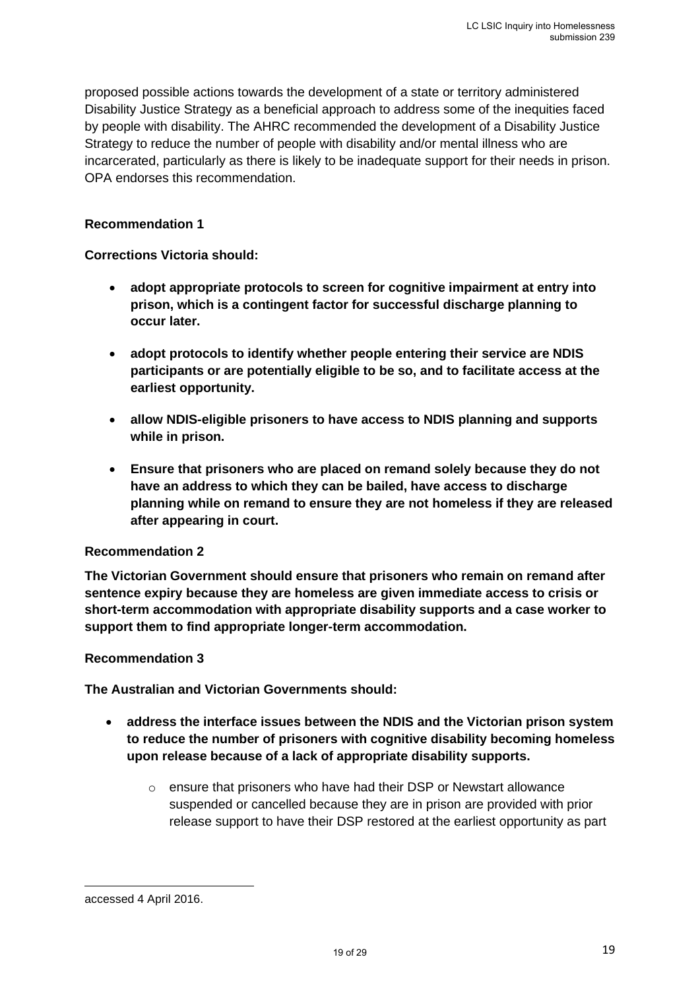proposed possible actions towards the development of a state or territory administered Disability Justice Strategy as a beneficial approach to address some of the inequities faced by people with disability. The AHRC recommended the development of a Disability Justice Strategy to reduce the number of people with disability and/or mental illness who are incarcerated, particularly as there is likely to be inadequate support for their needs in prison. OPA endorses this recommendation.

#### **Recommendation 1**

#### **Corrections Victoria should:**

- **adopt appropriate protocols to screen for cognitive impairment at entry into prison, which is a contingent factor for successful discharge planning to occur later.**
- **adopt protocols to identify whether people entering their service are NDIS participants or are potentially eligible to be so, and to facilitate access at the earliest opportunity.**
- **allow NDIS-eligible prisoners to have access to NDIS planning and supports while in prison.**
- **Ensure that prisoners who are placed on remand solely because they do not have an address to which they can be bailed, have access to discharge planning while on remand to ensure they are not homeless if they are released after appearing in court.**

#### **Recommendation 2**

**The Victorian Government should ensure that prisoners who remain on remand after sentence expiry because they are homeless are given immediate access to crisis or short-term accommodation with appropriate disability supports and a case worker to support them to find appropriate longer-term accommodation.**

#### **Recommendation 3**

**The Australian and Victorian Governments should:** 

- **address the interface issues between the NDIS and the Victorian prison system to reduce the number of prisoners with cognitive disability becoming homeless upon release because of a lack of appropriate disability supports.**
	- o ensure that prisoners who have had their DSP or Newstart allowance suspended or cancelled because they are in prison are provided with prior release support to have their DSP restored at the earliest opportunity as part

accessed 4 April 2016.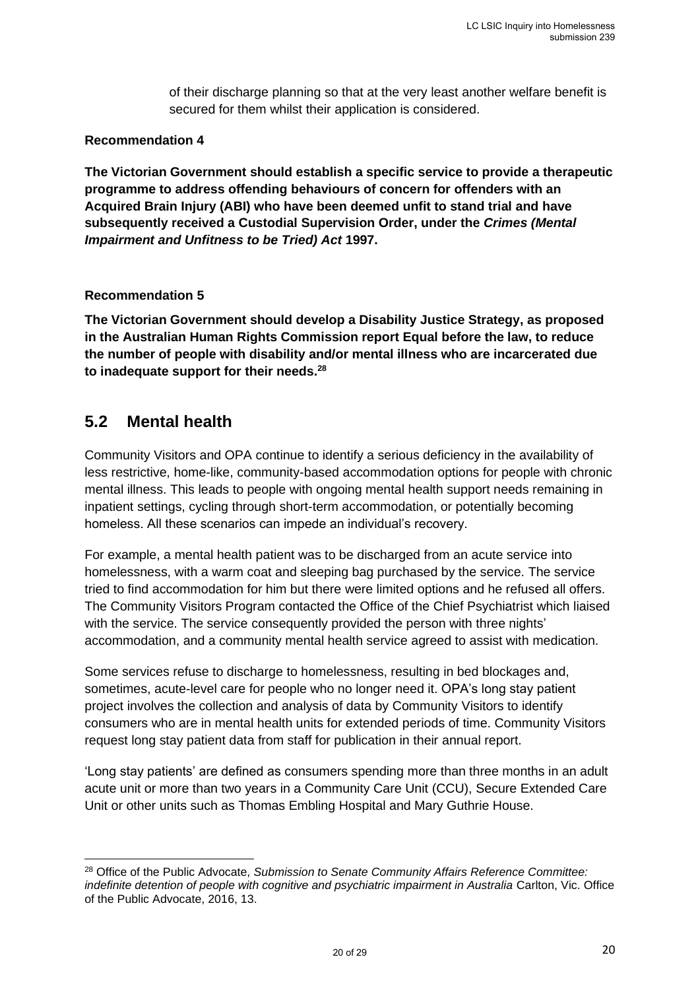of their discharge planning so that at the very least another welfare benefit is secured for them whilst their application is considered.

#### **Recommendation 4**

**The Victorian Government should establish a specific service to provide a therapeutic programme to address offending behaviours of concern for offenders with an Acquired Brain Injury (ABI) who have been deemed unfit to stand trial and have subsequently received a Custodial Supervision Order, under the** *Crimes (Mental Impairment and Unfitness to be Tried) Act* **1997.**

#### **Recommendation 5**

**The Victorian Government should develop a Disability Justice Strategy, as proposed in the Australian Human Rights Commission report Equal before the law, to reduce the number of people with disability and/or mental illness who are incarcerated due to inadequate support for their needs.<sup>28</sup>**

### <span id="page-19-0"></span>**5.2 Mental health**

Community Visitors and OPA continue to identify a serious deficiency in the availability of less restrictive, home-like, community-based accommodation options for people with chronic mental illness. This leads to people with ongoing mental health support needs remaining in inpatient settings, cycling through short-term accommodation, or potentially becoming homeless. All these scenarios can impede an individual's recovery.

For example, a mental health patient was to be discharged from an acute service into homelessness, with a warm coat and sleeping bag purchased by the service. The service tried to find accommodation for him but there were limited options and he refused all offers. The Community Visitors Program contacted the Office of the Chief Psychiatrist which liaised with the service. The service consequently provided the person with three nights' accommodation, and a community mental health service agreed to assist with medication.

Some services refuse to discharge to homelessness, resulting in bed blockages and, sometimes, acute-level care for people who no longer need it. OPA's long stay patient project involves the collection and analysis of data by Community Visitors to identify consumers who are in mental health units for extended periods of time. Community Visitors request long stay patient data from staff for publication in their annual report.

'Long stay patients' are defined as consumers spending more than three months in an adult acute unit or more than two years in a Community Care Unit (CCU), Secure Extended Care Unit or other units such as Thomas Embling Hospital and Mary Guthrie House.

<sup>28</sup> Office of the Public Advocate, *Submission to Senate Community Affairs Reference Committee: indefinite detention of people with cognitive and psychiatric impairment in Australia* Carlton, Vic. Office of the Public Advocate, 2016, 13.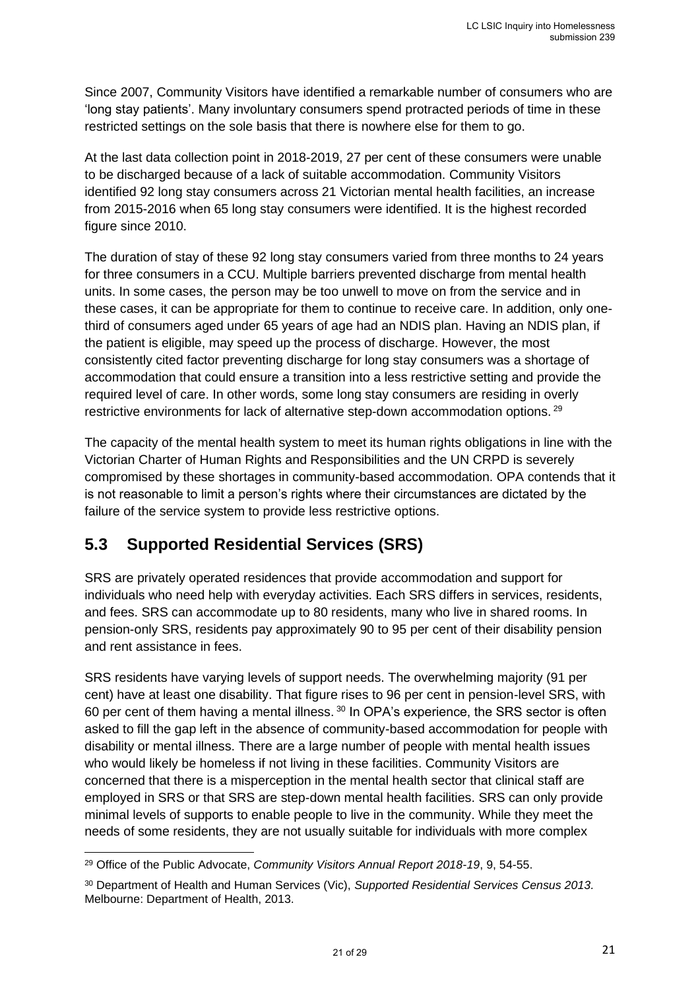Since 2007, Community Visitors have identified a remarkable number of consumers who are 'long stay patients'. Many involuntary consumers spend protracted periods of time in these restricted settings on the sole basis that there is nowhere else for them to go.

At the last data collection point in 2018-2019, 27 per cent of these consumers were unable to be discharged because of a lack of suitable accommodation. Community Visitors identified 92 long stay consumers across 21 Victorian mental health facilities, an increase from 2015-2016 when 65 long stay consumers were identified. It is the highest recorded figure since 2010.

The duration of stay of these 92 long stay consumers varied from three months to 24 years for three consumers in a CCU. Multiple barriers prevented discharge from mental health units. In some cases, the person may be too unwell to move on from the service and in these cases, it can be appropriate for them to continue to receive care. In addition, only onethird of consumers aged under 65 years of age had an NDIS plan. Having an NDIS plan, if the patient is eligible, may speed up the process of discharge. However, the most consistently cited factor preventing discharge for long stay consumers was a shortage of accommodation that could ensure a transition into a less restrictive setting and provide the required level of care. In other words, some long stay consumers are residing in overly restrictive environments for lack of alternative step-down accommodation options.<sup>29</sup>

The capacity of the mental health system to meet its human rights obligations in line with the Victorian Charter of Human Rights and Responsibilities and the UN CRPD is severely compromised by these shortages in community-based accommodation. OPA contends that it is not reasonable to limit a person's rights where their circumstances are dictated by the failure of the service system to provide less restrictive options.

### <span id="page-20-0"></span>**5.3 Supported Residential Services (SRS)**

SRS are privately operated residences that provide accommodation and support for individuals who need help with everyday activities. Each SRS differs in services, residents, and fees. SRS can accommodate up to 80 residents, many who live in shared rooms. In pension-only SRS, residents pay approximately 90 to 95 per cent of their disability pension and rent assistance in fees.

SRS residents have varying levels of support needs. The overwhelming majority (91 per cent) have at least one disability. That figure rises to 96 per cent in pension-level SRS, with 60 per cent of them having a mental illness. <sup>30</sup> In OPA's experience, the SRS sector is often asked to fill the gap left in the absence of community-based accommodation for people with disability or mental illness. There are a large number of people with mental health issues who would likely be homeless if not living in these facilities. Community Visitors are concerned that there is a misperception in the mental health sector that clinical staff are employed in SRS or that SRS are step-down mental health facilities. SRS can only provide minimal levels of supports to enable people to live in the community. While they meet the needs of some residents, they are not usually suitable for individuals with more complex

<sup>29</sup> Office of the Public Advocate, *Community Visitors Annual Report 2018-19*, 9, 54-55.

<sup>30</sup> Department of Health and Human Services (Vic), *Supported Residential Services Census 2013.*  Melbourne: Department of Health, 2013.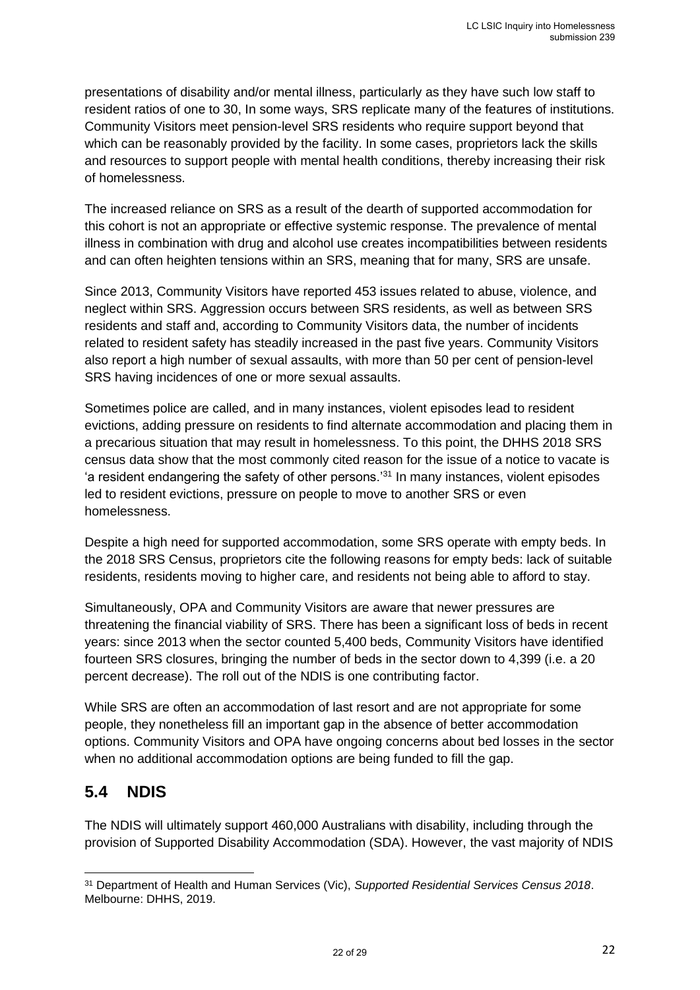presentations of disability and/or mental illness, particularly as they have such low staff to resident ratios of one to 30, In some ways, SRS replicate many of the features of institutions. Community Visitors meet pension-level SRS residents who require support beyond that which can be reasonably provided by the facility. In some cases, proprietors lack the skills and resources to support people with mental health conditions, thereby increasing their risk of homelessness.

The increased reliance on SRS as a result of the dearth of supported accommodation for this cohort is not an appropriate or effective systemic response. The prevalence of mental illness in combination with drug and alcohol use creates incompatibilities between residents and can often heighten tensions within an SRS, meaning that for many, SRS are unsafe.

Since 2013, Community Visitors have reported 453 issues related to abuse, violence, and neglect within SRS. Aggression occurs between SRS residents, as well as between SRS residents and staff and, according to Community Visitors data, the number of incidents related to resident safety has steadily increased in the past five years. Community Visitors also report a high number of sexual assaults, with more than 50 per cent of pension-level SRS having incidences of one or more sexual assaults.

Sometimes police are called, and in many instances, violent episodes lead to resident evictions, adding pressure on residents to find alternate accommodation and placing them in a precarious situation that may result in homelessness. To this point, the DHHS 2018 SRS census data show that the most commonly cited reason for the issue of a notice to vacate is 'a resident endangering the safety of other persons.'<sup>31</sup> In many instances, violent episodes led to resident evictions, pressure on people to move to another SRS or even homelessness.

Despite a high need for supported accommodation, some SRS operate with empty beds. In the 2018 SRS Census, proprietors cite the following reasons for empty beds: lack of suitable residents, residents moving to higher care, and residents not being able to afford to stay.

Simultaneously, OPA and Community Visitors are aware that newer pressures are threatening the financial viability of SRS. There has been a significant loss of beds in recent years: since 2013 when the sector counted 5,400 beds, Community Visitors have identified fourteen SRS closures, bringing the number of beds in the sector down to 4,399 (i.e. a 20 percent decrease). The roll out of the NDIS is one contributing factor.

While SRS are often an accommodation of last resort and are not appropriate for some people, they nonetheless fill an important gap in the absence of better accommodation options. Community Visitors and OPA have ongoing concerns about bed losses in the sector when no additional accommodation options are being funded to fill the gap.

### <span id="page-21-0"></span>**5.4 NDIS**

The NDIS will ultimately support 460,000 Australians with disability, including through the provision of Supported Disability Accommodation (SDA). However, the vast majority of NDIS

<sup>31</sup> Department of Health and Human Services (Vic), *Supported Residential Services Census 2018*. Melbourne: DHHS, 2019.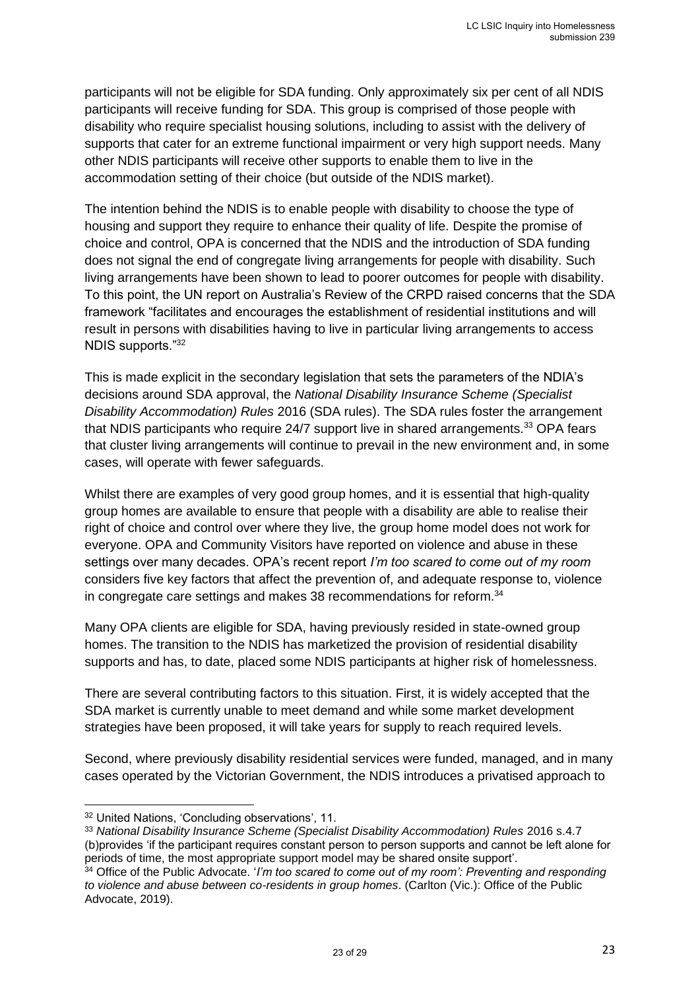participants will not be eligible for SDA funding. Only approximately six per cent of all NDIS participants will receive funding for SDA. This group is comprised of those people with disability who require specialist housing solutions, including to assist with the delivery of supports that cater for an extreme functional impairment or very high support needs. Many other NDIS participants will receive other supports to enable them to live in the accommodation setting of their choice (but outside of the NDIS market).

The intention behind the NDIS is to enable people with disability to choose the type of housing and support they require to enhance their quality of life. Despite the promise of choice and control, OPA is concerned that the NDIS and the introduction of SDA funding does not signal the end of congregate living arrangements for people with disability. Such living arrangements have been shown to lead to poorer outcomes for people with disability. To this point, the UN report on Australia's Review of the CRPD raised concerns that the SDA framework "facilitates and encourages the establishment of residential institutions and will result in persons with disabilities having to live in particular living arrangements to access NDIS supports."<sup>32</sup>

This is made explicit in the secondary legislation that sets the parameters of the NDIA's decisions around SDA approval, the *National Disability Insurance Scheme (Specialist Disability Accommodation) Rules* 2016 (SDA rules). The SDA rules foster the arrangement that NDIS participants who require 24/7 support live in shared arrangements.<sup>33</sup> OPA fears that cluster living arrangements will continue to prevail in the new environment and, in some cases, will operate with fewer safeguards.

Whilst there are examples of very good group homes, and it is essential that high-quality group homes are available to ensure that people with a disability are able to realise their right of choice and control over where they live, the group home model does not work for everyone. OPA and Community Visitors have reported on violence and abuse in these settings over many decades. OPA's recent report *I'm too scared to come out of my room* considers five key factors that affect the prevention of, and adequate response to, violence in congregate care settings and makes 38 recommendations for reform.<sup>34</sup>

Many OPA clients are eligible for SDA, having previously resided in state-owned group homes. The transition to the NDIS has marketized the provision of residential disability supports and has, to date, placed some NDIS participants at higher risk of homelessness.

There are several contributing factors to this situation. First, it is widely accepted that the SDA market is currently unable to meet demand and while some market development strategies have been proposed, it will take years for supply to reach required levels.

Second, where previously disability residential services were funded, managed, and in many cases operated by the Victorian Government, the NDIS introduces a privatised approach to

<sup>32</sup> United Nations, 'Concluding observations', 11.

<sup>&</sup>lt;sup>33</sup> National Disability Insurance Scheme (Specialist Disability Accommodation) Rules 2016 s.4.7 (b)provides 'if the participant requires constant person to person supports and cannot be left alone for periods of time, the most appropriate support model may be shared onsite support'.

<sup>34</sup> Office of the Public Advocate. '*I'm too scared to come out of my room': Preventing and responding to violence and abuse between co-residents in group homes*. (Carlton (Vic.): Office of the Public Advocate, 2019).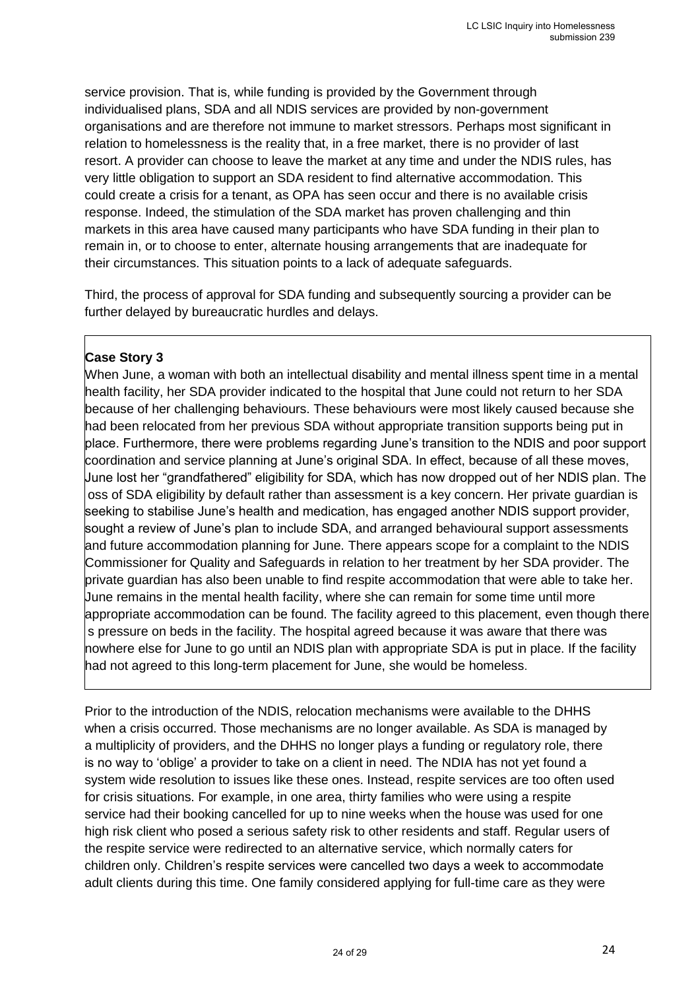service provision. That is, while funding is provided by the Government through individualised plans, SDA and all NDIS services are provided by non-government organisations and are therefore not immune to market stressors. Perhaps most significant in relation to homelessness is the reality that, in a free market, there is no provider of last resort. A provider can choose to leave the market at any time and under the NDIS rules, has very little obligation to support an SDA resident to find alternative accommodation. This could create a crisis for a tenant, as OPA has seen occur and there is no available crisis response. Indeed, the stimulation of the SDA market has proven challenging and thin markets in this area have caused many participants who have SDA funding in their plan to remain in, or to choose to enter, alternate housing arrangements that are inadequate for their circumstances. This situation points to a lack of adequate safeguards.

Third, the process of approval for SDA funding and subsequently sourcing a provider can be further delayed by bureaucratic hurdles and delays.

#### **Case Story 3**

When June, a woman with both an intellectual disability and mental illness spent time in a mental health facility, her SDA provider indicated to the hospital that June could not return to her SDA because of her challenging behaviours. These behaviours were most likely caused because she had been relocated from her previous SDA without appropriate transition supports being put in place. Furthermore, there were problems regarding June's transition to the NDIS and poor support coordination and service planning at June's original SDA. In effect, because of all these moves, June lost her "grandfathered" eligibility for SDA, which has now dropped out of her NDIS plan. The oss of SDA eligibility by default rather than assessment is a key concern. Her private guardian is seeking to stabilise June's health and medication, has engaged another NDIS support provider, sought a review of June's plan to include SDA, and arranged behavioural support assessments and future accommodation planning for June. There appears scope for a complaint to the NDIS Commissioner for Quality and Safeguards in relation to her treatment by her SDA provider. The private guardian has also been unable to find respite accommodation that were able to take her. June remains in the mental health facility, where she can remain for some time until more appropriate accommodation can be found. The facility agreed to this placement, even though there s pressure on beds in the facility. The hospital agreed because it was aware that there was nowhere else for June to go until an NDIS plan with appropriate SDA is put in place. If the facility had not agreed to this long-term placement for June, she would be homeless.

Prior to the introduction of the NDIS, relocation mechanisms were available to the DHHS when a crisis occurred. Those mechanisms are no longer available. As SDA is managed by a multiplicity of providers, and the DHHS no longer plays a funding or regulatory role, there is no way to 'oblige' a provider to take on a client in need. The NDIA has not yet found a system wide resolution to issues like these ones. Instead, respite services are too often used for crisis situations. For example, in one area, thirty families who were using a respite service had their booking cancelled for up to nine weeks when the house was used for one high risk client who posed a serious safety risk to other residents and staff. Regular users of the respite service were redirected to an alternative service, which normally caters for children only. Children's respite services were cancelled two days a week to accommodate adult clients during this time. One family considered applying for full-time care as they were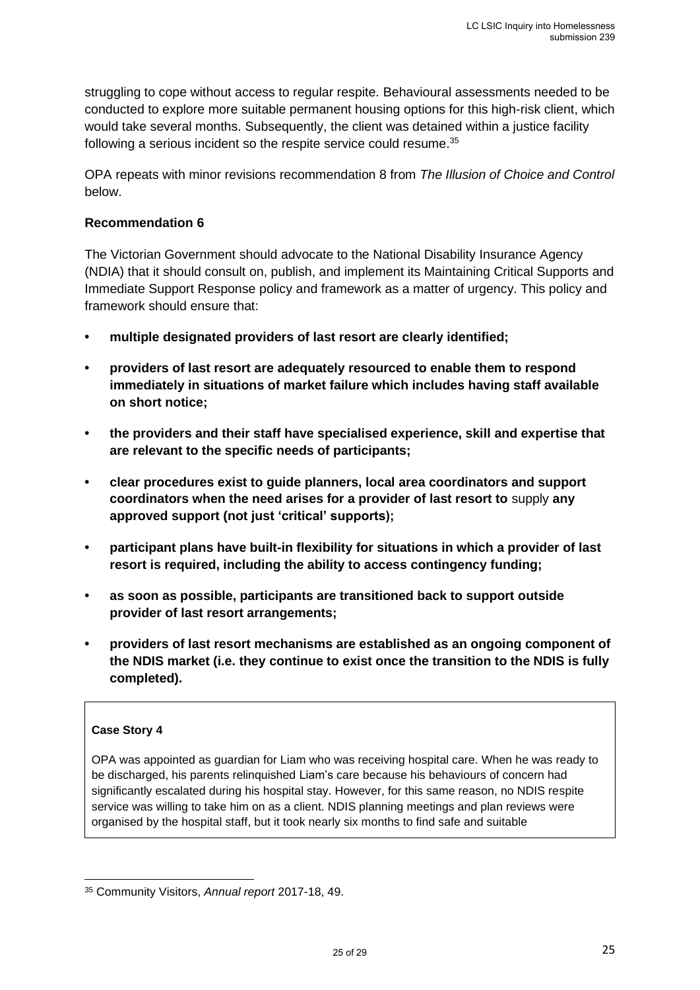struggling to cope without access to regular respite. Behavioural assessments needed to be conducted to explore more suitable permanent housing options for this high-risk client, which would take several months. Subsequently, the client was detained within a justice facility following a serious incident so the respite service could resume.<sup>35</sup>

OPA repeats with minor revisions recommendation 8 from *The Illusion of Choice and Control* below.

#### **Recommendation 6**

The Victorian Government should advocate to the National Disability Insurance Agency (NDIA) that it should consult on, publish, and implement its Maintaining Critical Supports and Immediate Support Response policy and framework as a matter of urgency. This policy and framework should ensure that:

- **• multiple designated providers of last resort are clearly identified;**
- **• providers of last resort are adequately resourced to enable them to respond immediately in situations of market failure which includes having staff available on short notice;**
- **• the providers and their staff have specialised experience, skill and expertise that are relevant to the specific needs of participants;**
- **• clear procedures exist to guide planners, local area coordinators and support coordinators when the need arises for a provider of last resort to** supply **any approved support (not just 'critical' supports);**
- **• participant plans have built-in flexibility for situations in which a provider of last resort is required, including the ability to access contingency funding;**
- **• as soon as possible, participants are transitioned back to support outside provider of last resort arrangements;**
- **• providers of last resort mechanisms are established as an ongoing component of the NDIS market (i.e. they continue to exist once the transition to the NDIS is fully completed).**

#### **Case Story 4**

OPA was appointed as guardian for Liam who was receiving hospital care. When he was ready to be discharged, his parents relinquished Liam's care because his behaviours of concern had significantly escalated during his hospital stay. However, for this same reason, no NDIS respite service was willing to take him on as a client. NDIS planning meetings and plan reviews were organised by the hospital staff, but it took nearly six months to find safe and suitable

<sup>35</sup> Community Visitors, *Annual report* 2017-18, 49.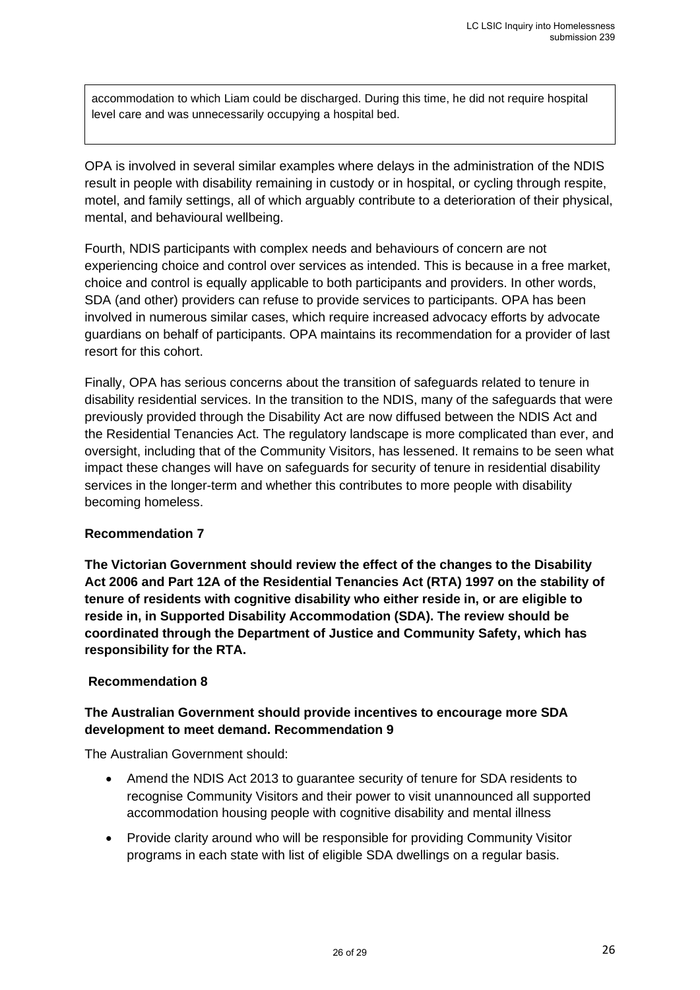accommodation to which Liam could be discharged. During this time, he did not require hospital level care and was unnecessarily occupying a hospital bed.

OPA is involved in several similar examples where delays in the administration of the NDIS result in people with disability remaining in custody or in hospital, or cycling through respite, motel, and family settings, all of which arguably contribute to a deterioration of their physical, mental, and behavioural wellbeing.

Fourth, NDIS participants with complex needs and behaviours of concern are not experiencing choice and control over services as intended. This is because in a free market, choice and control is equally applicable to both participants and providers. In other words, SDA (and other) providers can refuse to provide services to participants. OPA has been involved in numerous similar cases, which require increased advocacy efforts by advocate guardians on behalf of participants. OPA maintains its recommendation for a provider of last resort for this cohort.

Finally, OPA has serious concerns about the transition of safeguards related to tenure in disability residential services. In the transition to the NDIS, many of the safeguards that were previously provided through the Disability Act are now diffused between the NDIS Act and the Residential Tenancies Act. The regulatory landscape is more complicated than ever, and oversight, including that of the Community Visitors, has lessened. It remains to be seen what impact these changes will have on safeguards for security of tenure in residential disability services in the longer-term and whether this contributes to more people with disability becoming homeless.

#### **Recommendation 7**

**The Victorian Government should review the effect of the changes to the Disability Act 2006 and Part 12A of the Residential Tenancies Act (RTA) 1997 on the stability of tenure of residents with cognitive disability who either reside in, or are eligible to reside in, in Supported Disability Accommodation (SDA). The review should be coordinated through the Department of Justice and Community Safety, which has responsibility for the RTA.**

#### **Recommendation 8**

#### **The Australian Government should provide incentives to encourage more SDA development to meet demand. Recommendation 9**

The Australian Government should:

- Amend the NDIS Act 2013 to guarantee security of tenure for SDA residents to recognise Community Visitors and their power to visit unannounced all supported accommodation housing people with cognitive disability and mental illness
- Provide clarity around who will be responsible for providing Community Visitor programs in each state with list of eligible SDA dwellings on a regular basis.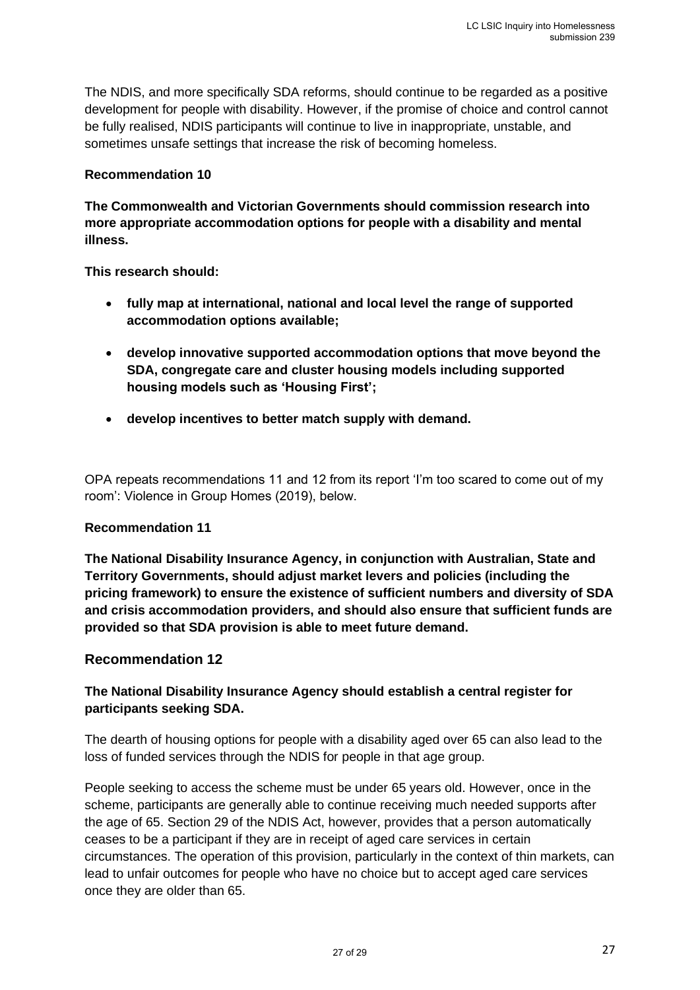The NDIS, and more specifically SDA reforms, should continue to be regarded as a positive development for people with disability. However, if the promise of choice and control cannot be fully realised, NDIS participants will continue to live in inappropriate, unstable, and sometimes unsafe settings that increase the risk of becoming homeless.

#### **Recommendation 10**

**The Commonwealth and Victorian Governments should commission research into more appropriate accommodation options for people with a disability and mental illness.**

**This research should:**

- **fully map at international, national and local level the range of supported accommodation options available;**
- **develop innovative supported accommodation options that move beyond the SDA, congregate care and cluster housing models including supported housing models such as 'Housing First';**
- **develop incentives to better match supply with demand.**

OPA repeats recommendations 11 and 12 from its report 'I'm too scared to come out of my room': Violence in Group Homes (2019), below.

#### **Recommendation 11**

**The National Disability Insurance Agency, in conjunction with Australian, State and Territory Governments, should adjust market levers and policies (including the pricing framework) to ensure the existence of sufficient numbers and diversity of SDA and crisis accommodation providers, and should also ensure that sufficient funds are provided so that SDA provision is able to meet future demand.**

#### **Recommendation 12**

#### **The National Disability Insurance Agency should establish a central register for participants seeking SDA.**

The dearth of housing options for people with a disability aged over 65 can also lead to the loss of funded services through the NDIS for people in that age group.

People seeking to access the scheme must be under 65 years old. However, once in the scheme, participants are generally able to continue receiving much needed supports after the age of 65. Section 29 of the NDIS Act, however, provides that a person automatically ceases to be a participant if they are in receipt of aged care services in certain circumstances. The operation of this provision, particularly in the context of thin markets, can lead to unfair outcomes for people who have no choice but to accept aged care services once they are older than 65.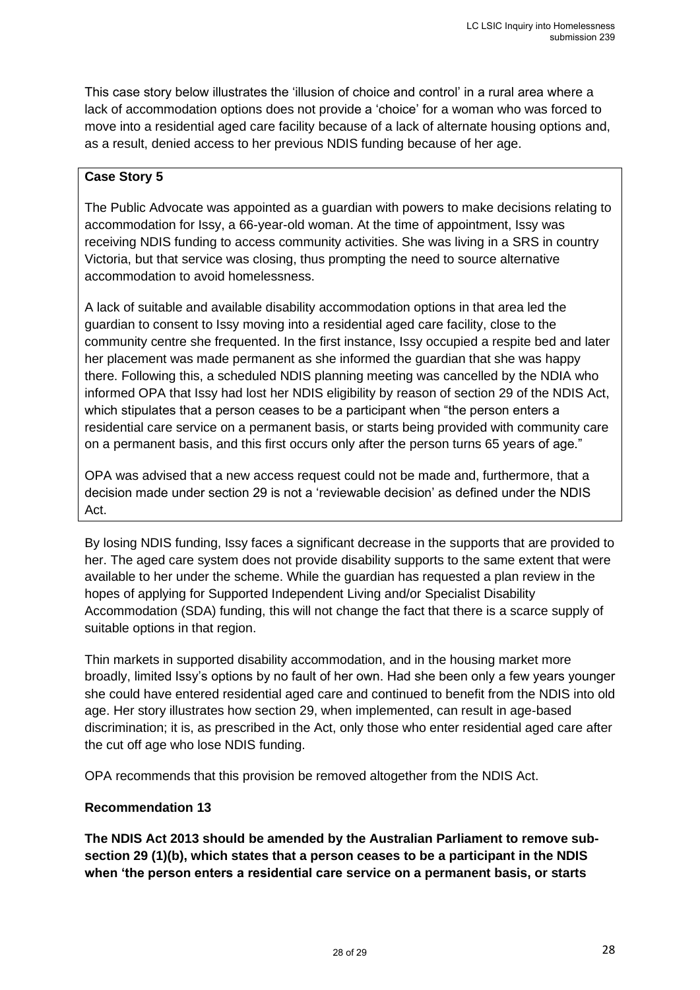This case story below illustrates the 'illusion of choice and control' in a rural area where a lack of accommodation options does not provide a 'choice' for a woman who was forced to move into a residential aged care facility because of a lack of alternate housing options and, as a result, denied access to her previous NDIS funding because of her age.

#### **Case Story 5**

The Public Advocate was appointed as a guardian with powers to make decisions relating to accommodation for Issy, a 66-year-old woman. At the time of appointment, Issy was receiving NDIS funding to access community activities. She was living in a SRS in country Victoria, but that service was closing, thus prompting the need to source alternative accommodation to avoid homelessness.

A lack of suitable and available disability accommodation options in that area led the guardian to consent to Issy moving into a residential aged care facility, close to the community centre she frequented. In the first instance, Issy occupied a respite bed and later her placement was made permanent as she informed the guardian that she was happy there. Following this, a scheduled NDIS planning meeting was cancelled by the NDIA who informed OPA that Issy had lost her NDIS eligibility by reason of section 29 of the NDIS Act, which stipulates that a person ceases to be a participant when "the person enters a residential care service on a permanent basis, or starts being provided with community care on a permanent basis, and this first occurs only after the person turns 65 years of age."

OPA was advised that a new access request could not be made and, furthermore, that a decision made under section 29 is not a 'reviewable decision' as defined under the NDIS Act.

By losing NDIS funding, Issy faces a significant decrease in the supports that are provided to her. The aged care system does not provide disability supports to the same extent that were available to her under the scheme. While the guardian has requested a plan review in the hopes of applying for Supported Independent Living and/or Specialist Disability Accommodation (SDA) funding, this will not change the fact that there is a scarce supply of suitable options in that region.

Thin markets in supported disability accommodation, and in the housing market more broadly, limited Issy's options by no fault of her own. Had she been only a few years younger she could have entered residential aged care and continued to benefit from the NDIS into old age. Her story illustrates how section 29, when implemented, can result in age-based discrimination; it is, as prescribed in the Act, only those who enter residential aged care after the cut off age who lose NDIS funding.

OPA recommends that this provision be removed altogether from the NDIS Act.

#### **Recommendation 13**

**The NDIS Act 2013 should be amended by the Australian Parliament to remove subsection 29 (1)(b), which states that a person ceases to be a participant in the NDIS when 'the person enters a residential care service on a permanent basis, or starts**